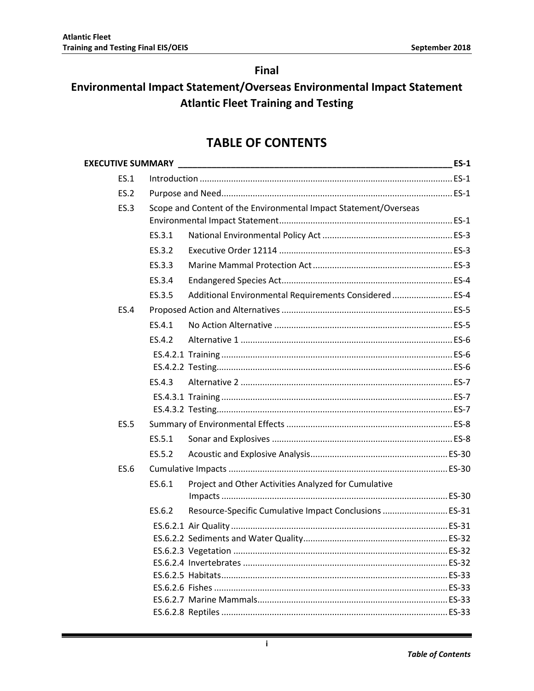# **Final**

# Environmental Impact Statement/Overseas Environmental Impact Statement **Atlantic Fleet Training and Testing**

# **TABLE OF CONTENTS**

|        |                                                        | $ES-1$                                                           |
|--------|--------------------------------------------------------|------------------------------------------------------------------|
|        |                                                        |                                                                  |
|        |                                                        |                                                                  |
|        |                                                        |                                                                  |
|        |                                                        |                                                                  |
| ES.3.1 |                                                        |                                                                  |
| ES.3.2 |                                                        |                                                                  |
| ES.3.3 |                                                        |                                                                  |
| ES.3.4 |                                                        |                                                                  |
| ES.3.5 | Additional Environmental Requirements Considered  ES-4 |                                                                  |
|        |                                                        |                                                                  |
| ES.4.1 |                                                        |                                                                  |
| ES.4.2 |                                                        |                                                                  |
|        |                                                        |                                                                  |
|        |                                                        |                                                                  |
| ES.4.3 |                                                        |                                                                  |
|        |                                                        |                                                                  |
|        |                                                        |                                                                  |
|        |                                                        |                                                                  |
| ES.5.1 |                                                        |                                                                  |
| ES.5.2 |                                                        |                                                                  |
|        |                                                        |                                                                  |
| ES.6.1 | Project and Other Activities Analyzed for Cumulative   |                                                                  |
|        |                                                        |                                                                  |
| ES.6.2 | Resource-Specific Cumulative Impact Conclusions  ES-31 |                                                                  |
|        |                                                        |                                                                  |
|        |                                                        |                                                                  |
|        |                                                        |                                                                  |
|        |                                                        |                                                                  |
|        |                                                        |                                                                  |
|        |                                                        |                                                                  |
|        |                                                        |                                                                  |
|        |                                                        | Scope and Content of the Environmental Impact Statement/Overseas |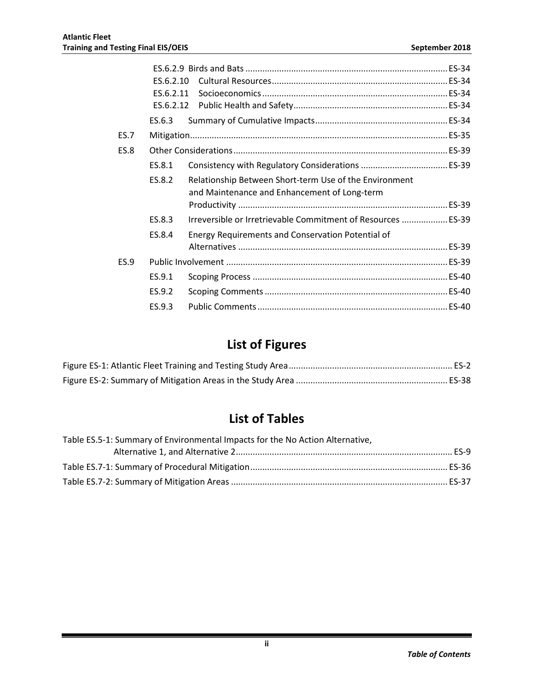|             | ES.6.2.10 |                                                                                                        |  |
|-------------|-----------|--------------------------------------------------------------------------------------------------------|--|
|             | ES.6.2.11 |                                                                                                        |  |
|             |           |                                                                                                        |  |
|             | ES.6.3    |                                                                                                        |  |
| <b>ES.7</b> |           |                                                                                                        |  |
| <b>ES.8</b> |           |                                                                                                        |  |
|             | ES.8.1    |                                                                                                        |  |
|             | ES.8.2    | Relationship Between Short-term Use of the Environment<br>and Maintenance and Enhancement of Long-term |  |
|             |           |                                                                                                        |  |
|             | ES.8.3    | Irreversible or Irretrievable Commitment of Resources  ES-39                                           |  |
|             | ES.8.4    | Energy Requirements and Conservation Potential of                                                      |  |
|             |           |                                                                                                        |  |
| <b>ES.9</b> |           |                                                                                                        |  |
|             | ES.9.1    |                                                                                                        |  |
|             | ES.9.2    |                                                                                                        |  |
|             | ES.9.3    |                                                                                                        |  |
|             |           |                                                                                                        |  |

# **List of Figures**

# **List of Tables**

| Table ES.5-1: Summary of Environmental Impacts for the No Action Alternative, |  |
|-------------------------------------------------------------------------------|--|
|                                                                               |  |
|                                                                               |  |
|                                                                               |  |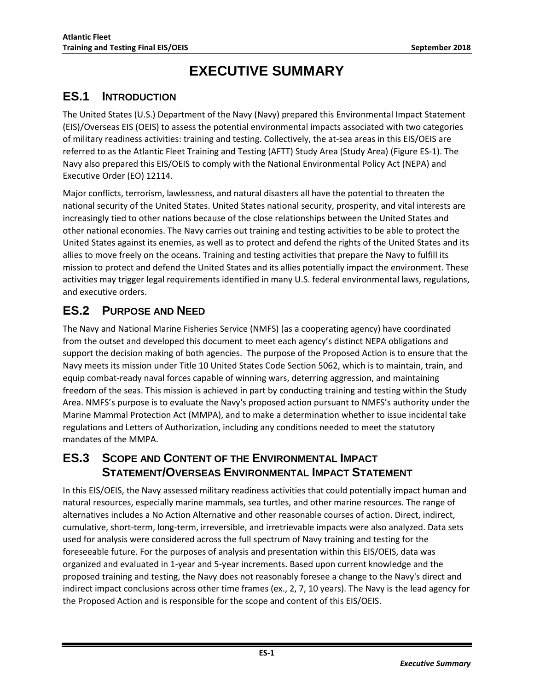# **EXECUTIVE SUMMARY**

# <span id="page-2-1"></span><span id="page-2-0"></span>**ES.1 INTRODUCTION**

The United States (U.S.) Department of the Navy (Navy) prepared this Environmental Impact Statement (EIS)/Overseas EIS (OEIS) to assess the potential environmental impacts associated with two categories of military readiness activities: training and testing. Collectively, the at-sea areas in this EIS/OEIS are referred to as the Atlantic Fleet Training and Testing (AFTT) Study Area (Study Area) (Figure ES-1). The Navy also prepared this EIS/OEIS to comply with the National Environmental Policy Act (NEPA) and Executive Order (EO) 12114.

Major conflicts, terrorism, lawlessness, and natural disasters all have the potential to threaten the national security of the United States. United States national security, prosperity, and vital interests are increasingly tied to other nations because of the close relationships between the United States and other national economies. The Navy carries out training and testing activities to be able to protect the United States against its enemies, as well as to protect and defend the rights of the United States and its allies to move freely on the oceans. Training and testing activities that prepare the Navy to fulfill its mission to protect and defend the United States and its allies potentially impact the environment. These activities may trigger legal requirements identified in many U.S. federal environmental laws, regulations, and executive orders.

# <span id="page-2-2"></span>**ES.2 PURPOSE AND NEED**

The Navy and National Marine Fisheries Service (NMFS) (as a cooperating agency) have coordinated from the outset and developed this document to meet each agency's distinct NEPA obligations and support the decision making of both agencies. The purpose of the Proposed Action is to ensure that the Navy meets its mission under Title 10 United States Code Section 5062, which is to maintain, train, and equip combat-ready naval forces capable of winning wars, deterring aggression, and maintaining freedom of the seas. This mission is achieved in part by conducting training and testing within the Study Area. NMFS's purpose is to evaluate the Navy's proposed action pursuant to NMFS's authority under the Marine Mammal Protection Act (MMPA), and to make a determination whether to issue incidental take regulations and Letters of Authorization, including any conditions needed to meet the statutory mandates of the MMPA.

# <span id="page-2-3"></span>**ES.3 SCOPE AND CONTENT OF THE ENVIRONMENTAL IMPACT STATEMENT/OVERSEAS ENVIRONMENTAL IMPACT STATEMENT**

In this EIS/OEIS, the Navy assessed military readiness activities that could potentially impact human and natural resources, especially marine mammals, sea turtles, and other marine resources. The range of alternatives includes a No Action Alternative and other reasonable courses of action. Direct, indirect, cumulative, short-term, long-term, irreversible, and irretrievable impacts were also analyzed. Data sets used for analysis were considered across the full spectrum of Navy training and testing for the foreseeable future. For the purposes of analysis and presentation within this EIS/OEIS, data was organized and evaluated in 1-year and 5-year increments. Based upon current knowledge and the proposed training and testing, the Navy does not reasonably foresee a change to the Navy's direct and indirect impact conclusions across other time frames (ex., 2, 7, 10 years). The Navy is the lead agency for the Proposed Action and is responsible for the scope and content of this EIS/OEIS.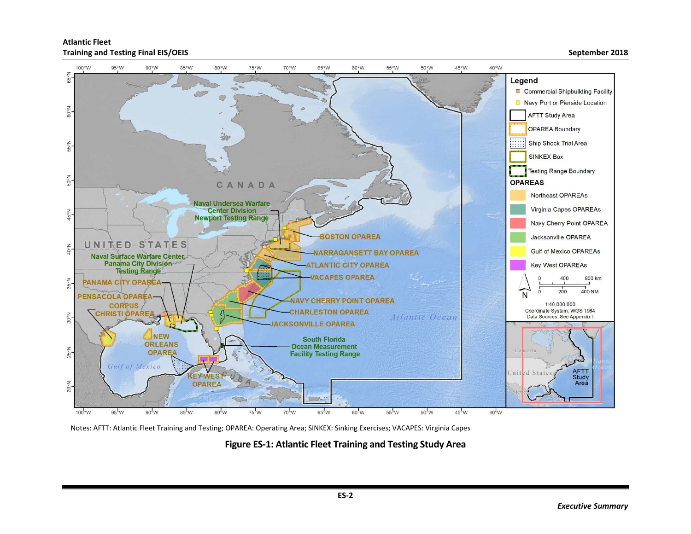



<span id="page-3-0"></span>Notes: AFTT: Atlantic Fleet Training and Testing; OPAREA: Operating Area; SINKEX: Sinking Exercises; VACAPES: Virginia Capes

**Figure ES-1: Atlantic Fleet Training and Testing Study Area**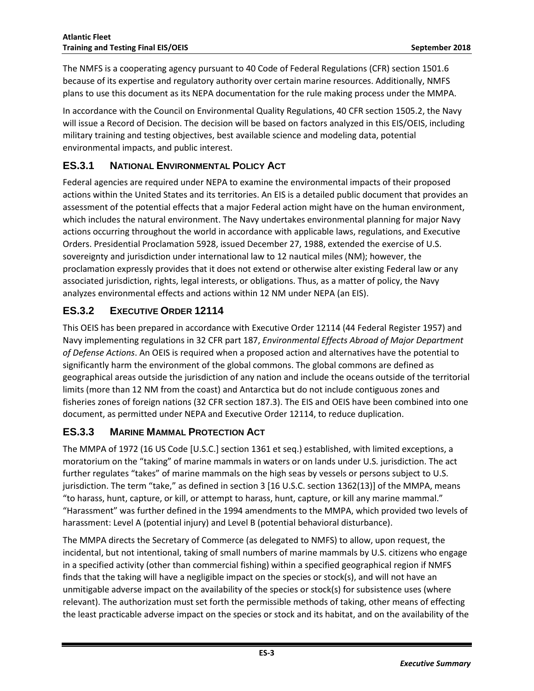<span id="page-4-0"></span>The NMFS is a cooperating agency pursuant to 40 Code of Federal Regulations (CFR) section 1501.6 because of its expertise and regulatory authority over certain marine resources. Additionally, NMFS plans to use this document as its NEPA documentation for the rule making process under the MMPA.

In accordance with the Council on Environmental Quality Regulations, 40 CFR section 1505.2, the Navy will issue a Record of Decision. The decision will be based on factors analyzed in this EIS/OEIS, including military training and testing objectives, best available science and modeling data, potential environmental impacts, and public interest.

### **ES.3.1 NATIONAL ENVIRONMENTAL POLICY ACT**

Federal agencies are required under NEPA to examine the environmental impacts of their proposed actions within the United States and its territories. An EIS is a detailed public document that provides an assessment of the potential effects that a major Federal action might have on the human environment, which includes the natural environment. The Navy undertakes environmental planning for major Navy actions occurring throughout the world in accordance with applicable laws, regulations, and Executive Orders. Presidential Proclamation 5928, issued December 27, 1988, extended the exercise of U.S. sovereignty and jurisdiction under international law to 12 nautical miles (NM); however, the proclamation expressly provides that it does not extend or otherwise alter existing Federal law or any associated jurisdiction, rights, legal interests, or obligations. Thus, as a matter of policy, the Navy analyzes environmental effects and actions within 12 NM under NEPA (an EIS).

### <span id="page-4-1"></span>**ES.3.2 EXECUTIVE ORDER 12114**

This OEIS has been prepared in accordance with Executive Order 12114 (44 Federal Register 1957) and Navy implementing regulations in 32 CFR part 187, *Environmental Effects Abroad of Major Department of Defense Actions*. An OEIS is required when a proposed action and alternatives have the potential to significantly harm the environment of the global commons. The global commons are defined as geographical areas outside the jurisdiction of any nation and include the oceans outside of the territorial limits (more than 12 NM from the coast) and Antarctica but do not include contiguous zones and fisheries zones of foreign nations (32 CFR section 187.3). The EIS and OEIS have been combined into one document, as permitted under NEPA and Executive Order 12114, to reduce duplication.

#### <span id="page-4-2"></span>**ES.3.3 MARINE MAMMAL PROTECTION ACT**

The MMPA of 1972 (16 US Code [U.S.C.] section 1361 et seq.) established, with limited exceptions, a moratorium on the "taking" of marine mammals in waters or on lands under U.S. jurisdiction. The act further regulates "takes" of marine mammals on the high seas by vessels or persons subject to U.S. jurisdiction. The term "take," as defined in section 3 [16 U.S.C. section 1362(13)] of the MMPA, means "to harass, hunt, capture, or kill, or attempt to harass, hunt, capture, or kill any marine mammal." "Harassment" was further defined in the 1994 amendments to the MMPA, which provided two levels of harassment: Level A (potential injury) and Level B (potential behavioral disturbance).

The MMPA directs the Secretary of Commerce (as delegated to NMFS) to allow, upon request, the incidental, but not intentional, taking of small numbers of marine mammals by U.S. citizens who engage in a specified activity (other than commercial fishing) within a specified geographical region if NMFS finds that the taking will have a negligible impact on the species or stock(s), and will not have an unmitigable adverse impact on the availability of the species or stock(s) for subsistence uses (where relevant). The authorization must set forth the permissible methods of taking, other means of effecting the least practicable adverse impact on the species or stock and its habitat, and on the availability of the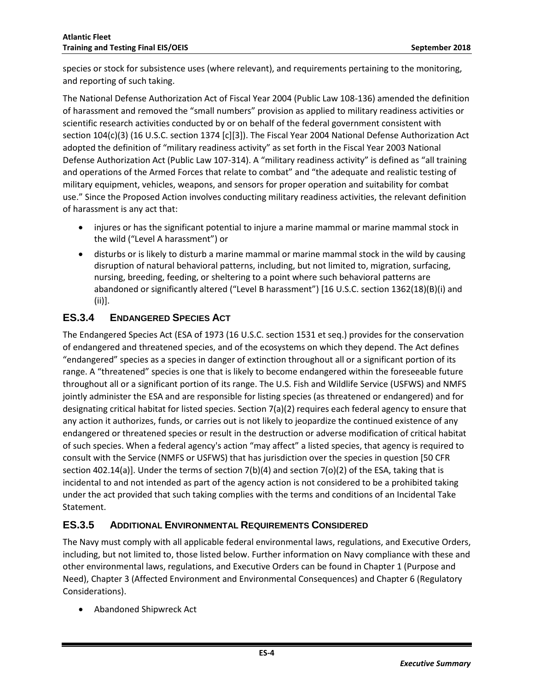species or stock for subsistence uses (where relevant), and requirements pertaining to the monitoring, and reporting of such taking.

The National Defense Authorization Act of Fiscal Year 2004 (Public Law 108-136) amended the definition of harassment and removed the "small numbers" provision as applied to military readiness activities or scientific research activities conducted by or on behalf of the federal government consistent with section 104(c)(3) (16 U.S.C. section 1374 [c][3]). The Fiscal Year 2004 National Defense Authorization Act adopted the definition of "military readiness activity" as set forth in the Fiscal Year 2003 National Defense Authorization Act (Public Law 107-314). A "military readiness activity" is defined as "all training and operations of the Armed Forces that relate to combat" and "the adequate and realistic testing of military equipment, vehicles, weapons, and sensors for proper operation and suitability for combat use." Since the Proposed Action involves conducting military readiness activities, the relevant definition of harassment is any act that:

- injures or has the significant potential to injure a marine mammal or marine mammal stock in the wild ("Level A harassment") or
- disturbs or is likely to disturb a marine mammal or marine mammal stock in the wild by causing disruption of natural behavioral patterns, including, but not limited to, migration, surfacing, nursing, breeding, feeding, or sheltering to a point where such behavioral patterns are abandoned or significantly altered ("Level B harassment") [16 U.S.C. section 1362(18)(B)(i) and (ii)].

#### <span id="page-5-0"></span>**ES.3.4 ENDANGERED SPECIES ACT**

The Endangered Species Act (ESA of 1973 (16 U.S.C. section 1531 et seq.) provides for the conservation of endangered and threatened species, and of the ecosystems on which they depend. The Act defines "endangered" species as a species in danger of extinction throughout all or a significant portion of its range. A "threatened" species is one that is likely to become endangered within the foreseeable future throughout all or a significant portion of its range. The U.S. Fish and Wildlife Service (USFWS) and NMFS jointly administer the ESA and are responsible for listing species (as threatened or endangered) and for designating critical habitat for listed species. Section 7(a)(2) requires each federal agency to ensure that any action it authorizes, funds, or carries out is not likely to jeopardize the continued existence of any endangered or threatened species or result in the destruction or adverse modification of critical habitat of such species. When a federal agency's action "may affect" a listed species, that agency is required to consult with the Service (NMFS or USFWS) that has jurisdiction over the species in question [50 CFR section 402.14(a)]. Under the terms of section 7(b)(4) and section 7(o)(2) of the ESA, taking that is incidental to and not intended as part of the agency action is not considered to be a prohibited taking under the act provided that such taking complies with the terms and conditions of an Incidental Take Statement.

#### <span id="page-5-1"></span>**ES.3.5 ADDITIONAL ENVIRONMENTAL REQUIREMENTS CONSIDERED**

The Navy must comply with all applicable federal environmental laws, regulations, and Executive Orders, including, but not limited to, those listed below. Further information on Navy compliance with these and other environmental laws, regulations, and Executive Orders can be found in Chapter 1 (Purpose and Need), Chapter 3 (Affected Environment and Environmental Consequences) and Chapter 6 (Regulatory Considerations).

• Abandoned Shipwreck Act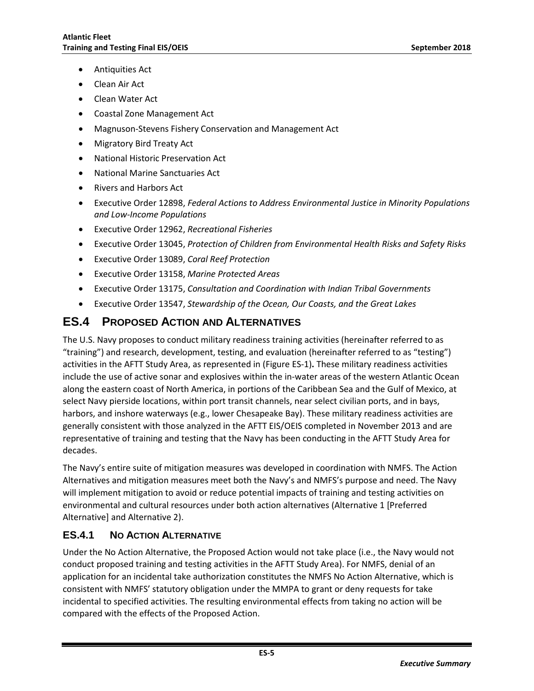- Antiquities Act
- Clean Air Act
- Clean Water Act
- Coastal Zone Management Act
- Magnuson-Stevens Fishery Conservation and Management Act
- Migratory Bird Treaty Act
- National Historic Preservation Act
- National Marine Sanctuaries Act
- Rivers and Harbors Act
- Executive Order 12898, *Federal Actions to Address Environmental Justice in Minority Populations and Low-Income Populations*
- Executive Order 12962, *Recreational Fisheries*
- Executive Order 13045, *Protection of Children from Environmental Health Risks and Safety Risks*
- Executive Order 13089, *Coral Reef Protection*
- Executive Order 13158, *Marine Protected Areas*
- Executive Order 13175, *Consultation and Coordination with Indian Tribal Governments*
- Executive Order 13547, *Stewardship of the Ocean, Our Coasts, and the Great Lakes*

#### <span id="page-6-0"></span>**ES.4 PROPOSED ACTION AND ALTERNATIVES**

The U.S. Navy proposes to conduct military readiness training activities (hereinafter referred to as "training") and research, development, testing, and evaluation (hereinafter referred to as "testing") activities in the AFTT Study Area, as represented in (Figure ES-1)**.** These military readiness activities include the use of active sonar and explosives within the in-water areas of the western Atlantic Ocean along the eastern coast of North America, in portions of the Caribbean Sea and the Gulf of Mexico, at select Navy pierside locations, within port transit channels, near select civilian ports, and in bays, harbors, and inshore waterways (e.g., lower Chesapeake Bay). These military readiness activities are generally consistent with those analyzed in the AFTT EIS/OEIS completed in November 2013 and are representative of training and testing that the Navy has been conducting in the AFTT Study Area for decades.

The Navy's entire suite of mitigation measures was developed in coordination with NMFS. The Action Alternatives and mitigation measures meet both the Navy's and NMFS's purpose and need. The Navy will implement mitigation to avoid or reduce potential impacts of training and testing activities on environmental and cultural resources under both action alternatives (Alternative 1 [Preferred Alternative] and Alternative 2).

#### <span id="page-6-1"></span>**ES.4.1 NO ACTION ALTERNATIVE**

Under the No Action Alternative, the Proposed Action would not take place (i.e., the Navy would not conduct proposed training and testing activities in the AFTT Study Area). For NMFS, denial of an application for an incidental take authorization constitutes the NMFS No Action Alternative, which is consistent with NMFS' statutory obligation under the MMPA to grant or deny requests for take incidental to specified activities. The resulting environmental effects from taking no action will be compared with the effects of the Proposed Action.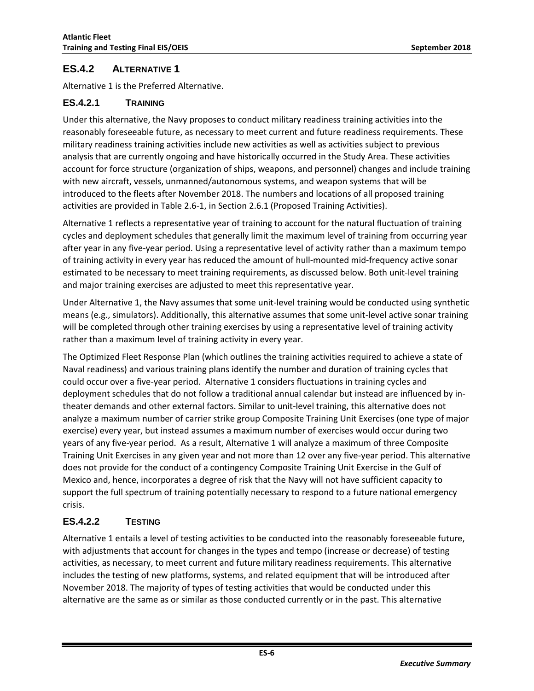#### <span id="page-7-0"></span>**ES.4.2 ALTERNATIVE 1**

Alternative 1 is the Preferred Alternative.

#### <span id="page-7-1"></span>**ES.4.2.1 TRAINING**

Under this alternative, the Navy proposes to conduct military readiness training activities into the reasonably foreseeable future, as necessary to meet current and future readiness requirements. These military readiness training activities include new activities as well as activities subject to previous analysis that are currently ongoing and have historically occurred in the Study Area. These activities account for force structure (organization of ships, weapons, and personnel) changes and include training with new aircraft, vessels, unmanned/autonomous systems, and weapon systems that will be introduced to the fleets after November 2018. The numbers and locations of all proposed training activities are provided in Table 2.6-1, in Section 2.6.1 (Proposed Training Activities).

Alternative 1 reflects a representative year of training to account for the natural fluctuation of training cycles and deployment schedules that generally limit the maximum level of training from occurring year after year in any five-year period. Using a representative level of activity rather than a maximum tempo of training activity in every year has reduced the amount of hull-mounted mid-frequency active sonar estimated to be necessary to meet training requirements, as discussed below. Both unit-level training and major training exercises are adjusted to meet this representative year.

Under Alternative 1, the Navy assumes that some unit-level training would be conducted using synthetic means (e.g., simulators). Additionally, this alternative assumes that some unit-level active sonar training will be completed through other training exercises by using a representative level of training activity rather than a maximum level of training activity in every year.

The Optimized Fleet Response Plan (which outlines the training activities required to achieve a state of Naval readiness) and various training plans identify the number and duration of training cycles that could occur over a five-year period. Alternative 1 considers fluctuations in training cycles and deployment schedules that do not follow a traditional annual calendar but instead are influenced by intheater demands and other external factors. Similar to unit-level training, this alternative does not analyze a maximum number of carrier strike group Composite Training Unit Exercises (one type of major exercise) every year, but instead assumes a maximum number of exercises would occur during two years of any five-year period. As a result, Alternative 1 will analyze a maximum of three Composite Training Unit Exercises in any given year and not more than 12 over any five-year period. This alternative does not provide for the conduct of a contingency Composite Training Unit Exercise in the Gulf of Mexico and, hence, incorporates a degree of risk that the Navy will not have sufficient capacity to support the full spectrum of training potentially necessary to respond to a future national emergency crisis.

#### <span id="page-7-2"></span>**ES.4.2.2 TESTING**

Alternative 1 entails a level of testing activities to be conducted into the reasonably foreseeable future, with adjustments that account for changes in the types and tempo (increase or decrease) of testing activities, as necessary, to meet current and future military readiness requirements. This alternative includes the testing of new platforms, systems, and related equipment that will be introduced after November 2018. The majority of types of testing activities that would be conducted under this alternative are the same as or similar as those conducted currently or in the past. This alternative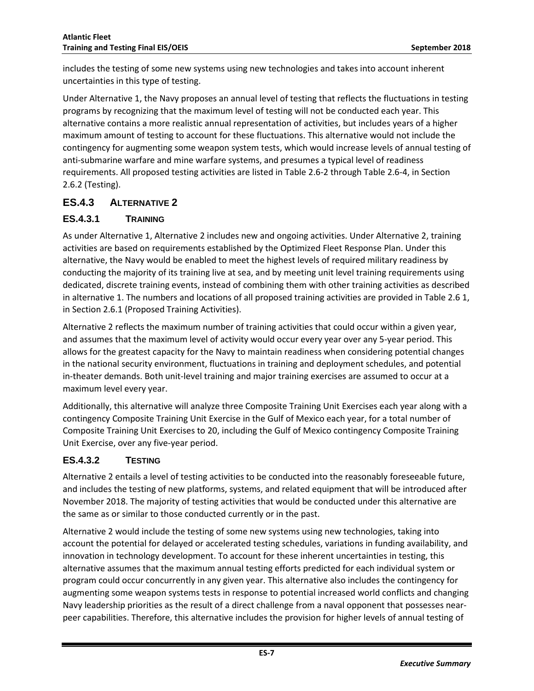includes the testing of some new systems using new technologies and takes into account inherent uncertainties in this type of testing.

Under Alternative 1, the Navy proposes an annual level of testing that reflects the fluctuations in testing programs by recognizing that the maximum level of testing will not be conducted each year. This alternative contains a more realistic annual representation of activities, but includes years of a higher maximum amount of testing to account for these fluctuations. This alternative would not include the contingency for augmenting some weapon system tests, which would increase levels of annual testing of anti-submarine warfare and mine warfare systems, and presumes a typical level of readiness requirements. All proposed testing activities are listed in Table 2.6-2 through Table 2.6-4, in Section 2.6.2 (Testing).

#### <span id="page-8-0"></span>**ES.4.3 ALTERNATIVE 2**

#### <span id="page-8-1"></span>**ES.4.3.1 TRAINING**

As under Alternative 1, Alternative 2 includes new and ongoing activities. Under Alternative 2, training activities are based on requirements established by the Optimized Fleet Response Plan. Under this alternative, the Navy would be enabled to meet the highest levels of required military readiness by conducting the majority of its training live at sea, and by meeting unit level training requirements using dedicated, discrete training events, instead of combining them with other training activities as described in alternative 1. The numbers and locations of all proposed training activities are provided in Table 2.6 1, in Section 2.6.1 (Proposed Training Activities).

Alternative 2 reflects the maximum number of training activities that could occur within a given year, and assumes that the maximum level of activity would occur every year over any 5-year period. This allows for the greatest capacity for the Navy to maintain readiness when considering potential changes in the national security environment, fluctuations in training and deployment schedules, and potential in-theater demands. Both unit-level training and major training exercises are assumed to occur at a maximum level every year.

Additionally, this alternative will analyze three Composite Training Unit Exercises each year along with a contingency Composite Training Unit Exercise in the Gulf of Mexico each year, for a total number of Composite Training Unit Exercises to 20, including the Gulf of Mexico contingency Composite Training Unit Exercise, over any five-year period.

#### <span id="page-8-2"></span>**ES.4.3.2 TESTING**

Alternative 2 entails a level of testing activities to be conducted into the reasonably foreseeable future, and includes the testing of new platforms, systems, and related equipment that will be introduced after November 2018. The majority of testing activities that would be conducted under this alternative are the same as or similar to those conducted currently or in the past.

Alternative 2 would include the testing of some new systems using new technologies, taking into account the potential for delayed or accelerated testing schedules, variations in funding availability, and innovation in technology development. To account for these inherent uncertainties in testing, this alternative assumes that the maximum annual testing efforts predicted for each individual system or program could occur concurrently in any given year. This alternative also includes the contingency for augmenting some weapon systems tests in response to potential increased world conflicts and changing Navy leadership priorities as the result of a direct challenge from a naval opponent that possesses nearpeer capabilities. Therefore, this alternative includes the provision for higher levels of annual testing of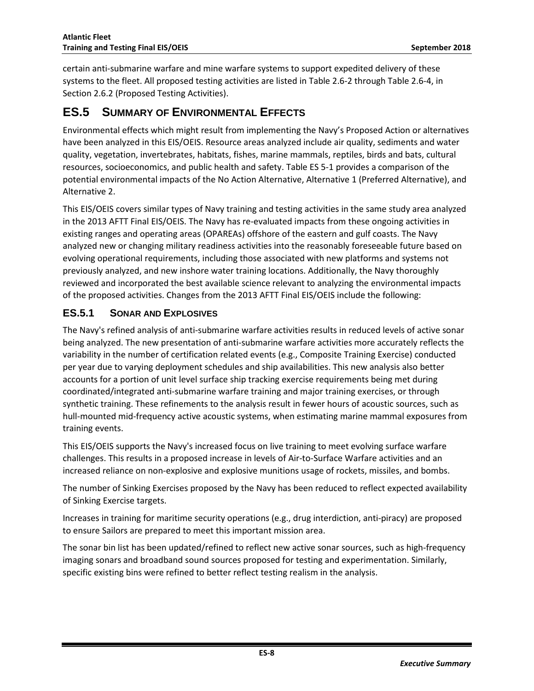certain anti-submarine warfare and mine warfare systems to support expedited delivery of these systems to the fleet. All proposed testing activities are listed in Table 2.6-2 through Table 2.6-4, in Section 2.6.2 (Proposed Testing Activities).

## <span id="page-9-0"></span>**ES.5 SUMMARY OF ENVIRONMENTAL EFFECTS**

Environmental effects which might result from implementing the Navy's Proposed Action or alternatives have been analyzed in this EIS/OEIS. Resource areas analyzed include air quality, sediments and water quality, vegetation, invertebrates, habitats, fishes, marine mammals, reptiles, birds and bats, cultural resources, socioeconomics, and public health and safety. Table ES 5-1 provides a comparison of the potential environmental impacts of the No Action Alternative, Alternative 1 (Preferred Alternative), and Alternative 2.

This EIS/OEIS covers similar types of Navy training and testing activities in the same study area analyzed in the 2013 AFTT Final EIS/OEIS. The Navy has re-evaluated impacts from these ongoing activities in existing ranges and operating areas (OPAREAs) offshore of the eastern and gulf coasts. The Navy analyzed new or changing military readiness activities into the reasonably foreseeable future based on evolving operational requirements, including those associated with new platforms and systems not previously analyzed, and new inshore water training locations. Additionally, the Navy thoroughly reviewed and incorporated the best available science relevant to analyzing the environmental impacts of the proposed activities. Changes from the 2013 AFTT Final EIS/OEIS include the following:

#### <span id="page-9-1"></span>**ES.5.1 SONAR AND EXPLOSIVES**

The Navy's refined analysis of anti-submarine warfare activities results in reduced levels of active sonar being analyzed. The new presentation of anti-submarine warfare activities more accurately reflects the variability in the number of certification related events (e.g., Composite Training Exercise) conducted per year due to varying deployment schedules and ship availabilities. This new analysis also better accounts for a portion of unit level surface ship tracking exercise requirements being met during coordinated/integrated anti-submarine warfare training and major training exercises, or through synthetic training. These refinements to the analysis result in fewer hours of acoustic sources, such as hull-mounted mid-frequency active acoustic systems, when estimating marine mammal exposures from training events.

This EIS/OEIS supports the Navy's increased focus on live training to meet evolving surface warfare challenges. This results in a proposed increase in levels of Air-to-Surface Warfare activities and an increased reliance on non-explosive and explosive munitions usage of rockets, missiles, and bombs.

The number of Sinking Exercises proposed by the Navy has been reduced to reflect expected availability of Sinking Exercise targets.

Increases in training for maritime security operations (e.g., drug interdiction, anti-piracy) are proposed to ensure Sailors are prepared to meet this important mission area.

The sonar bin list has been updated/refined to reflect new active sonar sources, such as high-frequency imaging sonars and broadband sound sources proposed for testing and experimentation. Similarly, specific existing bins were refined to better reflect testing realism in the analysis.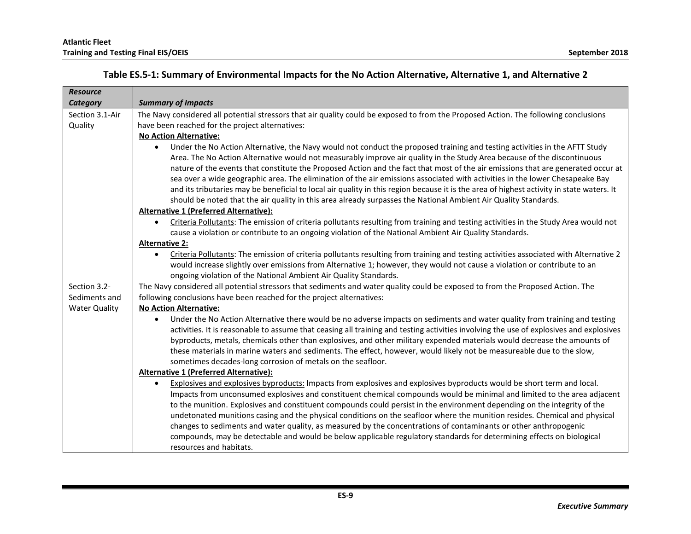**Atlantic Fleet**

<span id="page-10-0"></span>

| <b>Resource</b>      |                                                                                                                                                    |
|----------------------|----------------------------------------------------------------------------------------------------------------------------------------------------|
| Category             | <b>Summary of Impacts</b>                                                                                                                          |
| Section 3.1-Air      | The Navy considered all potential stressors that air quality could be exposed to from the Proposed Action. The following conclusions               |
| Quality              | have been reached for the project alternatives:                                                                                                    |
|                      | <b>No Action Alternative:</b>                                                                                                                      |
|                      | Under the No Action Alternative, the Navy would not conduct the proposed training and testing activities in the AFTT Study<br>$\bullet$            |
|                      | Area. The No Action Alternative would not measurably improve air quality in the Study Area because of the discontinuous                            |
|                      | nature of the events that constitute the Proposed Action and the fact that most of the air emissions that are generated occur at                   |
|                      | sea over a wide geographic area. The elimination of the air emissions associated with activities in the lower Chesapeake Bay                       |
|                      | and its tributaries may be beneficial to local air quality in this region because it is the area of highest activity in state waters. It           |
|                      | should be noted that the air quality in this area already surpasses the National Ambient Air Quality Standards.                                    |
|                      | Alternative 1 (Preferred Alternative):                                                                                                             |
|                      | Criteria Pollutants: The emission of criteria pollutants resulting from training and testing activities in the Study Area would not<br>$\bullet$   |
|                      | cause a violation or contribute to an ongoing violation of the National Ambient Air Quality Standards.                                             |
|                      | <b>Alternative 2:</b>                                                                                                                              |
|                      | Criteria Pollutants: The emission of criteria pollutants resulting from training and testing activities associated with Alternative 2<br>$\bullet$ |
|                      | would increase slightly over emissions from Alternative 1; however, they would not cause a violation or contribute to an                           |
|                      | ongoing violation of the National Ambient Air Quality Standards.                                                                                   |
| Section 3.2-         | The Navy considered all potential stressors that sediments and water quality could be exposed to from the Proposed Action. The                     |
| Sediments and        | following conclusions have been reached for the project alternatives:                                                                              |
| <b>Water Quality</b> | <b>No Action Alternative:</b>                                                                                                                      |
|                      | Under the No Action Alternative there would be no adverse impacts on sediments and water quality from training and testing<br>$\bullet$            |
|                      | activities. It is reasonable to assume that ceasing all training and testing activities involving the use of explosives and explosives             |
|                      | byproducts, metals, chemicals other than explosives, and other military expended materials would decrease the amounts of                           |
|                      | these materials in marine waters and sediments. The effect, however, would likely not be measureable due to the slow,                              |
|                      | sometimes decades-long corrosion of metals on the seafloor.                                                                                        |
|                      | Alternative 1 (Preferred Alternative):                                                                                                             |
|                      | Explosives and explosives byproducts: Impacts from explosives and explosives byproducts would be short term and local.<br>$\bullet$                |
|                      | Impacts from unconsumed explosives and constituent chemical compounds would be minimal and limited to the area adjacent                            |
|                      | to the munition. Explosives and constituent compounds could persist in the environment depending on the integrity of the                           |
|                      | undetonated munitions casing and the physical conditions on the seafloor where the munition resides. Chemical and physical                         |
|                      | changes to sediments and water quality, as measured by the concentrations of contaminants or other anthropogenic                                   |
|                      | compounds, may be detectable and would be below applicable regulatory standards for determining effects on biological                              |
|                      | resources and habitats.                                                                                                                            |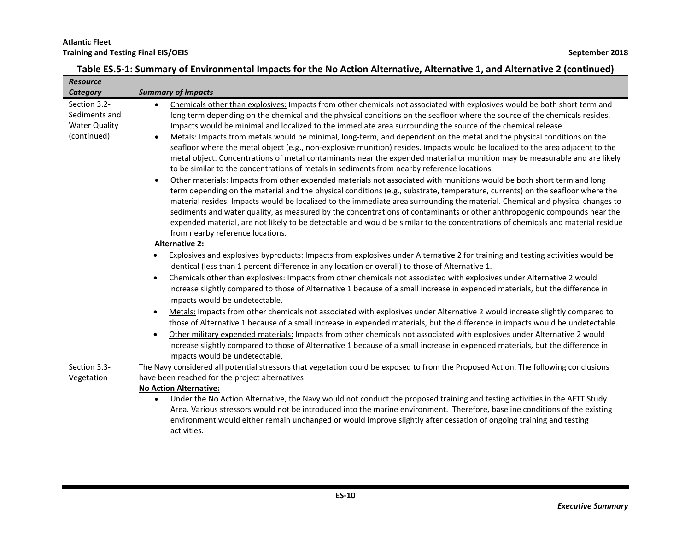| <b>Resource</b>      |                                                                                                                                                                                                                                                                |
|----------------------|----------------------------------------------------------------------------------------------------------------------------------------------------------------------------------------------------------------------------------------------------------------|
| Category             | <b>Summary of Impacts</b>                                                                                                                                                                                                                                      |
| Section 3.2-         | Chemicals other than explosives: Impacts from other chemicals not associated with explosives would be both short term and<br>$\bullet$                                                                                                                         |
| Sediments and        | long term depending on the chemical and the physical conditions on the seafloor where the source of the chemicals resides.                                                                                                                                     |
| <b>Water Quality</b> | Impacts would be minimal and localized to the immediate area surrounding the source of the chemical release.                                                                                                                                                   |
| (continued)          | Metals: Impacts from metals would be minimal, long-term, and dependent on the metal and the physical conditions on the<br>$\bullet$                                                                                                                            |
|                      | seafloor where the metal object (e.g., non-explosive munition) resides. Impacts would be localized to the area adjacent to the                                                                                                                                 |
|                      | metal object. Concentrations of metal contaminants near the expended material or munition may be measurable and are likely                                                                                                                                     |
|                      | to be similar to the concentrations of metals in sediments from nearby reference locations.                                                                                                                                                                    |
|                      | Other materials: Impacts from other expended materials not associated with munitions would be both short term and long<br>$\bullet$                                                                                                                            |
|                      | term depending on the material and the physical conditions (e.g., substrate, temperature, currents) on the seafloor where the<br>material resides. Impacts would be localized to the immediate area surrounding the material. Chemical and physical changes to |
|                      | sediments and water quality, as measured by the concentrations of contaminants or other anthropogenic compounds near the                                                                                                                                       |
|                      | expended material, are not likely to be detectable and would be similar to the concentrations of chemicals and material residue                                                                                                                                |
|                      | from nearby reference locations.                                                                                                                                                                                                                               |
|                      | <b>Alternative 2:</b>                                                                                                                                                                                                                                          |
|                      | Explosives and explosives byproducts: Impacts from explosives under Alternative 2 for training and testing activities would be                                                                                                                                 |
|                      | identical (less than 1 percent difference in any location or overall) to those of Alternative 1.                                                                                                                                                               |
|                      | Chemicals other than explosives: Impacts from other chemicals not associated with explosives under Alternative 2 would<br>$\bullet$                                                                                                                            |
|                      | increase slightly compared to those of Alternative 1 because of a small increase in expended materials, but the difference in                                                                                                                                  |
|                      | impacts would be undetectable.                                                                                                                                                                                                                                 |
|                      | Metals: Impacts from other chemicals not associated with explosives under Alternative 2 would increase slightly compared to                                                                                                                                    |
|                      | those of Alternative 1 because of a small increase in expended materials, but the difference in impacts would be undetectable.                                                                                                                                 |
|                      | Other military expended materials: Impacts from other chemicals not associated with explosives under Alternative 2 would<br>$\bullet$                                                                                                                          |
|                      | increase slightly compared to those of Alternative 1 because of a small increase in expended materials, but the difference in                                                                                                                                  |
|                      | impacts would be undetectable.                                                                                                                                                                                                                                 |
| Section 3.3-         | The Navy considered all potential stressors that vegetation could be exposed to from the Proposed Action. The following conclusions                                                                                                                            |
| Vegetation           | have been reached for the project alternatives:                                                                                                                                                                                                                |
|                      | <b>No Action Alternative:</b>                                                                                                                                                                                                                                  |
|                      | Under the No Action Alternative, the Navy would not conduct the proposed training and testing activities in the AFTT Study<br>$\bullet$                                                                                                                        |
|                      | Area. Various stressors would not be introduced into the marine environment. Therefore, baseline conditions of the existing<br>environment would either remain unchanged or would improve slightly after cessation of ongoing training and testing             |
|                      | activities.                                                                                                                                                                                                                                                    |
|                      |                                                                                                                                                                                                                                                                |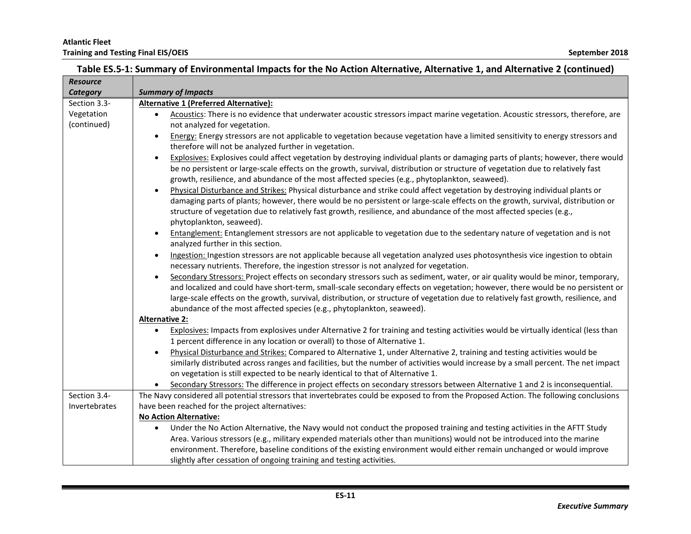| <b>Resource</b> |                                                                                                                                                  |  |
|-----------------|--------------------------------------------------------------------------------------------------------------------------------------------------|--|
| <b>Category</b> | <b>Summary of Impacts</b>                                                                                                                        |  |
| Section 3.3-    | Alternative 1 (Preferred Alternative):                                                                                                           |  |
| Vegetation      | Acoustics: There is no evidence that underwater acoustic stressors impact marine vegetation. Acoustic stressors, therefore, are<br>$\bullet$     |  |
| (continued)     | not analyzed for vegetation.                                                                                                                     |  |
|                 | Energy: Energy stressors are not applicable to vegetation because vegetation have a limited sensitivity to energy stressors and<br>$\bullet$     |  |
|                 | therefore will not be analyzed further in vegetation.                                                                                            |  |
|                 | Explosives: Explosives could affect vegetation by destroying individual plants or damaging parts of plants; however, there would<br>$\bullet$    |  |
|                 | be no persistent or large-scale effects on the growth, survival, distribution or structure of vegetation due to relatively fast                  |  |
|                 | growth, resilience, and abundance of the most affected species (e.g., phytoplankton, seaweed).                                                   |  |
|                 | Physical Disturbance and Strikes: Physical disturbance and strike could affect vegetation by destroying individual plants or<br>$\bullet$        |  |
|                 | damaging parts of plants; however, there would be no persistent or large-scale effects on the growth, survival, distribution or                  |  |
|                 | structure of vegetation due to relatively fast growth, resilience, and abundance of the most affected species (e.g.,                             |  |
|                 | phytoplankton, seaweed).                                                                                                                         |  |
|                 | Entanglement: Entanglement stressors are not applicable to vegetation due to the sedentary nature of vegetation and is not<br>$\bullet$          |  |
|                 | analyzed further in this section.                                                                                                                |  |
|                 | Ingestion: Ingestion stressors are not applicable because all vegetation analyzed uses photosynthesis vice ingestion to obtain<br>$\bullet$      |  |
|                 | necessary nutrients. Therefore, the ingestion stressor is not analyzed for vegetation.                                                           |  |
|                 | Secondary Stressors: Project effects on secondary stressors such as sediment, water, or air quality would be minor, temporary,<br>$\bullet$      |  |
|                 | and localized and could have short-term, small-scale secondary effects on vegetation; however, there would be no persistent or                   |  |
|                 | large-scale effects on the growth, survival, distribution, or structure of vegetation due to relatively fast growth, resilience, and             |  |
|                 | abundance of the most affected species (e.g., phytoplankton, seaweed).                                                                           |  |
|                 | <b>Alternative 2:</b>                                                                                                                            |  |
|                 | Explosives: Impacts from explosives under Alternative 2 for training and testing activities would be virtually identical (less than<br>$\bullet$ |  |
|                 | 1 percent difference in any location or overall) to those of Alternative 1.                                                                      |  |
|                 | Physical Disturbance and Strikes: Compared to Alternative 1, under Alternative 2, training and testing activities would be<br>$\bullet$          |  |
|                 | similarly distributed across ranges and facilities, but the number of activities would increase by a small percent. The net impact               |  |
|                 | on vegetation is still expected to be nearly identical to that of Alternative 1.                                                                 |  |
|                 | Secondary Stressors: The difference in project effects on secondary stressors between Alternative 1 and 2 is inconsequential.                    |  |
| Section 3.4-    | The Navy considered all potential stressors that invertebrates could be exposed to from the Proposed Action. The following conclusions           |  |
| Invertebrates   | have been reached for the project alternatives:                                                                                                  |  |
|                 | <b>No Action Alternative:</b>                                                                                                                    |  |
|                 | Under the No Action Alternative, the Navy would not conduct the proposed training and testing activities in the AFTT Study<br>$\bullet$          |  |
|                 | Area. Various stressors (e.g., military expended materials other than munitions) would not be introduced into the marine                         |  |
|                 | environment. Therefore, baseline conditions of the existing environment would either remain unchanged or would improve                           |  |
|                 | slightly after cessation of ongoing training and testing activities.                                                                             |  |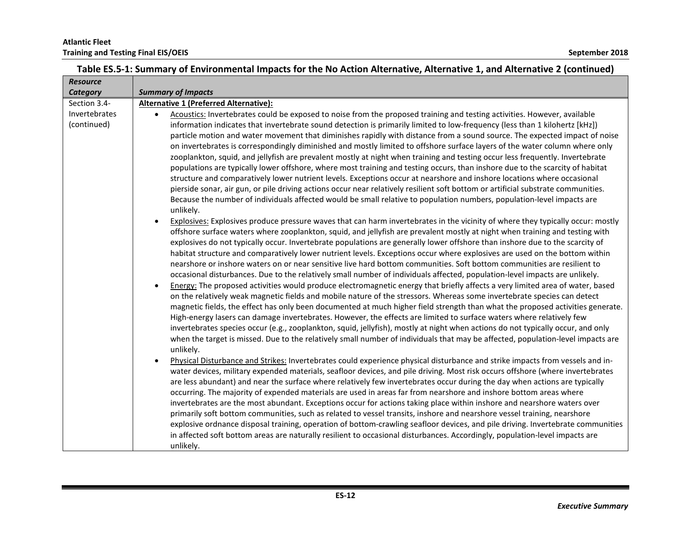| <b>Summary of Impacts</b>                                                                                                                                                                                                                                      |
|----------------------------------------------------------------------------------------------------------------------------------------------------------------------------------------------------------------------------------------------------------------|
| Alternative 1 (Preferred Alternative):                                                                                                                                                                                                                         |
| Acoustics: Invertebrates could be exposed to noise from the proposed training and testing activities. However, available                                                                                                                                       |
| information indicates that invertebrate sound detection is primarily limited to low-frequency (less than 1 kilohertz [kHz])                                                                                                                                    |
| particle motion and water movement that diminishes rapidly with distance from a sound source. The expected impact of noise                                                                                                                                     |
| on invertebrates is correspondingly diminished and mostly limited to offshore surface layers of the water column where only                                                                                                                                    |
| zooplankton, squid, and jellyfish are prevalent mostly at night when training and testing occur less frequently. Invertebrate<br>populations are typically lower offshore, where most training and testing occurs, than inshore due to the scarcity of habitat |
| structure and comparatively lower nutrient levels. Exceptions occur at nearshore and inshore locations where occasional                                                                                                                                        |
| pierside sonar, air gun, or pile driving actions occur near relatively resilient soft bottom or artificial substrate communities.                                                                                                                              |
| Because the number of individuals affected would be small relative to population numbers, population-level impacts are                                                                                                                                         |
| unlikely.                                                                                                                                                                                                                                                      |
| Explosives: Explosives produce pressure waves that can harm invertebrates in the vicinity of where they typically occur: mostly<br>$\bullet$                                                                                                                   |
| offshore surface waters where zooplankton, squid, and jellyfish are prevalent mostly at night when training and testing with                                                                                                                                   |
| explosives do not typically occur. Invertebrate populations are generally lower offshore than inshore due to the scarcity of                                                                                                                                   |
| habitat structure and comparatively lower nutrient levels. Exceptions occur where explosives are used on the bottom within                                                                                                                                     |
| nearshore or inshore waters on or near sensitive live hard bottom communities. Soft bottom communities are resilient to                                                                                                                                        |
| occasional disturbances. Due to the relatively small number of individuals affected, population-level impacts are unlikely.                                                                                                                                    |
| Energy: The proposed activities would produce electromagnetic energy that briefly affects a very limited area of water, based<br>$\bullet$                                                                                                                     |
| on the relatively weak magnetic fields and mobile nature of the stressors. Whereas some invertebrate species can detect<br>magnetic fields, the effect has only been documented at much higher field strength than what the proposed activities generate.      |
| High-energy lasers can damage invertebrates. However, the effects are limited to surface waters where relatively few                                                                                                                                           |
| invertebrates species occur (e.g., zooplankton, squid, jellyfish), mostly at night when actions do not typically occur, and only                                                                                                                               |
| when the target is missed. Due to the relatively small number of individuals that may be affected, population-level impacts are                                                                                                                                |
| unlikely.                                                                                                                                                                                                                                                      |
| Physical Disturbance and Strikes: Invertebrates could experience physical disturbance and strike impacts from vessels and in-<br>$\bullet$                                                                                                                     |
| water devices, military expended materials, seafloor devices, and pile driving. Most risk occurs offshore (where invertebrates                                                                                                                                 |
| are less abundant) and near the surface where relatively few invertebrates occur during the day when actions are typically                                                                                                                                     |
| occurring. The majority of expended materials are used in areas far from nearshore and inshore bottom areas where                                                                                                                                              |
| invertebrates are the most abundant. Exceptions occur for actions taking place within inshore and nearshore waters over                                                                                                                                        |
| primarily soft bottom communities, such as related to vessel transits, inshore and nearshore vessel training, nearshore<br>explosive ordnance disposal training, operation of bottom-crawling seafloor devices, and pile driving. Invertebrate communities     |
| in affected soft bottom areas are naturally resilient to occasional disturbances. Accordingly, population-level impacts are                                                                                                                                    |
| unlikely.                                                                                                                                                                                                                                                      |
|                                                                                                                                                                                                                                                                |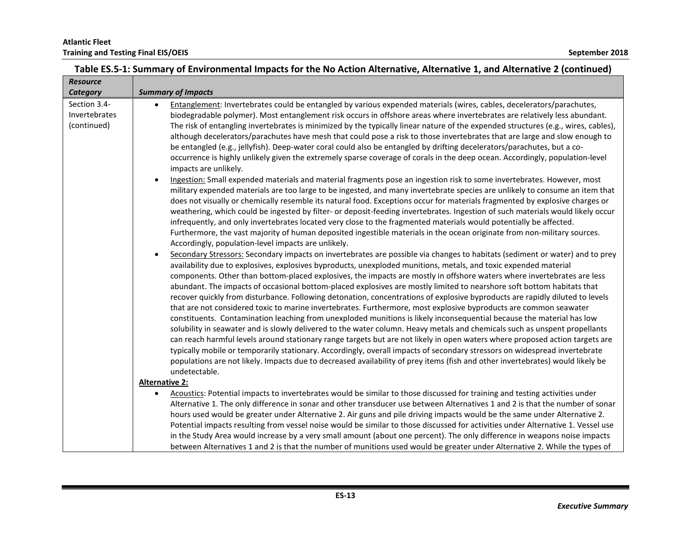| <b>Resource</b> |                                                                                                                                                                                                                                                            |
|-----------------|------------------------------------------------------------------------------------------------------------------------------------------------------------------------------------------------------------------------------------------------------------|
| Category        | <b>Summary of Impacts</b>                                                                                                                                                                                                                                  |
| Section 3.4-    | Entanglement: Invertebrates could be entangled by various expended materials (wires, cables, decelerators/parachutes,<br>$\bullet$                                                                                                                         |
| Invertebrates   | biodegradable polymer). Most entanglement risk occurs in offshore areas where invertebrates are relatively less abundant.                                                                                                                                  |
| (continued)     | The risk of entangling invertebrates is minimized by the typically linear nature of the expended structures (e.g., wires, cables),                                                                                                                         |
|                 | although decelerators/parachutes have mesh that could pose a risk to those invertebrates that are large and slow enough to                                                                                                                                 |
|                 | be entangled (e.g., jellyfish). Deep-water coral could also be entangled by drifting decelerators/parachutes, but a co-                                                                                                                                    |
|                 | occurrence is highly unlikely given the extremely sparse coverage of corals in the deep ocean. Accordingly, population-level                                                                                                                               |
|                 | impacts are unlikely.                                                                                                                                                                                                                                      |
|                 | Ingestion: Small expended materials and material fragments pose an ingestion risk to some invertebrates. However, most                                                                                                                                     |
|                 | military expended materials are too large to be ingested, and many invertebrate species are unlikely to consume an item that                                                                                                                               |
|                 | does not visually or chemically resemble its natural food. Exceptions occur for materials fragmented by explosive charges or                                                                                                                               |
|                 | weathering, which could be ingested by filter- or deposit-feeding invertebrates. Ingestion of such materials would likely occur<br>infrequently, and only invertebrates located very close to the fragmented materials would potentially be affected.      |
|                 | Furthermore, the vast majority of human deposited ingestible materials in the ocean originate from non-military sources.                                                                                                                                   |
|                 | Accordingly, population-level impacts are unlikely.                                                                                                                                                                                                        |
|                 | Secondary Stressors: Secondary impacts on invertebrates are possible via changes to habitats (sediment or water) and to prey<br>$\bullet$                                                                                                                  |
|                 | availability due to explosives, explosives byproducts, unexploded munitions, metals, and toxic expended material                                                                                                                                           |
|                 | components. Other than bottom-placed explosives, the impacts are mostly in offshore waters where invertebrates are less                                                                                                                                    |
|                 | abundant. The impacts of occasional bottom-placed explosives are mostly limited to nearshore soft bottom habitats that                                                                                                                                     |
|                 | recover quickly from disturbance. Following detonation, concentrations of explosive byproducts are rapidly diluted to levels                                                                                                                               |
|                 | that are not considered toxic to marine invertebrates. Furthermore, most explosive byproducts are common seawater                                                                                                                                          |
|                 | constituents. Contamination leaching from unexploded munitions is likely inconsequential because the material has low                                                                                                                                      |
|                 | solubility in seawater and is slowly delivered to the water column. Heavy metals and chemicals such as unspent propellants                                                                                                                                 |
|                 | can reach harmful levels around stationary range targets but are not likely in open waters where proposed action targets are                                                                                                                               |
|                 | typically mobile or temporarily stationary. Accordingly, overall impacts of secondary stressors on widespread invertebrate                                                                                                                                 |
|                 | populations are not likely. Impacts due to decreased availability of prey items (fish and other invertebrates) would likely be                                                                                                                             |
|                 | undetectable.                                                                                                                                                                                                                                              |
|                 | <b>Alternative 2:</b>                                                                                                                                                                                                                                      |
|                 | Acoustics: Potential impacts to invertebrates would be similar to those discussed for training and testing activities under<br>$\bullet$                                                                                                                   |
|                 | Alternative 1. The only difference in sonar and other transducer use between Alternatives 1 and 2 is that the number of sonar<br>hours used would be greater under Alternative 2. Air guns and pile driving impacts would be the same under Alternative 2. |
|                 | Potential impacts resulting from vessel noise would be similar to those discussed for activities under Alternative 1. Vessel use                                                                                                                           |
|                 | in the Study Area would increase by a very small amount (about one percent). The only difference in weapons noise impacts                                                                                                                                  |
|                 | between Alternatives 1 and 2 is that the number of munitions used would be greater under Alternative 2. While the types of                                                                                                                                 |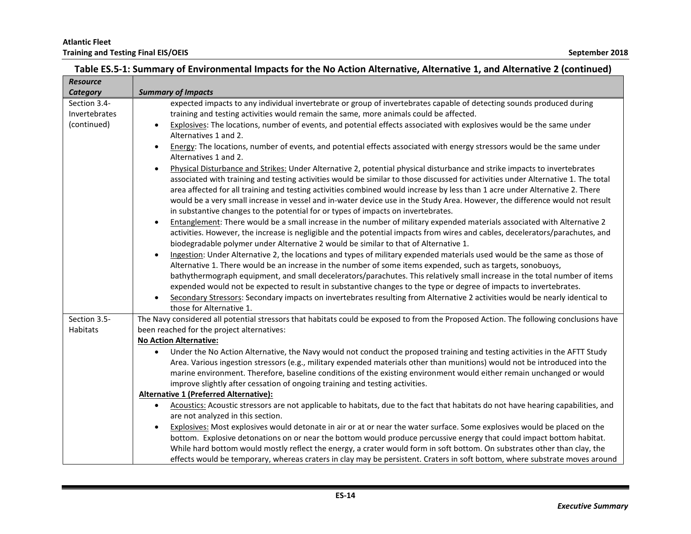| Table ES.5-1: Summary of Environmental Impacts for the No Action Alternative, Alternative 1, and Alternative 2 (continued) |
|----------------------------------------------------------------------------------------------------------------------------|
|----------------------------------------------------------------------------------------------------------------------------|

| <b>Resource</b> |                                                                                                                                                                                                                   |
|-----------------|-------------------------------------------------------------------------------------------------------------------------------------------------------------------------------------------------------------------|
| <b>Category</b> | <b>Summary of Impacts</b>                                                                                                                                                                                         |
| Section 3.4-    | expected impacts to any individual invertebrate or group of invertebrates capable of detecting sounds produced during                                                                                             |
| Invertebrates   | training and testing activities would remain the same, more animals could be affected.                                                                                                                            |
| (continued)     | Explosives: The locations, number of events, and potential effects associated with explosives would be the same under<br>$\bullet$                                                                                |
|                 | Alternatives 1 and 2.                                                                                                                                                                                             |
|                 | Energy: The locations, number of events, and potential effects associated with energy stressors would be the same under<br>$\bullet$<br>Alternatives 1 and 2.                                                     |
|                 | Physical Disturbance and Strikes: Under Alternative 2, potential physical disturbance and strike impacts to invertebrates<br>$\bullet$                                                                            |
|                 | associated with training and testing activities would be similar to those discussed for activities under Alternative 1. The total                                                                                 |
|                 | area affected for all training and testing activities combined would increase by less than 1 acre under Alternative 2. There                                                                                      |
|                 | would be a very small increase in vessel and in-water device use in the Study Area. However, the difference would not result<br>in substantive changes to the potential for or types of impacts on invertebrates. |
|                 | Entanglement: There would be a small increase in the number of military expended materials associated with Alternative 2<br>$\bullet$                                                                             |
|                 | activities. However, the increase is negligible and the potential impacts from wires and cables, decelerators/parachutes, and                                                                                     |
|                 | biodegradable polymer under Alternative 2 would be similar to that of Alternative 1.                                                                                                                              |
|                 | Ingestion: Under Alternative 2, the locations and types of military expended materials used would be the same as those of                                                                                         |
|                 | Alternative 1. There would be an increase in the number of some items expended, such as targets, sonobuoys,                                                                                                       |
|                 | bathythermograph equipment, and small decelerators/parachutes. This relatively small increase in the total number of items                                                                                        |
|                 | expended would not be expected to result in substantive changes to the type or degree of impacts to invertebrates.                                                                                                |
|                 | Secondary Stressors: Secondary impacts on invertebrates resulting from Alternative 2 activities would be nearly identical to<br>$\bullet$                                                                         |
|                 | those for Alternative 1.                                                                                                                                                                                          |
| Section 3.5-    | The Navy considered all potential stressors that habitats could be exposed to from the Proposed Action. The following conclusions have                                                                            |
| <b>Habitats</b> | been reached for the project alternatives:                                                                                                                                                                        |
|                 | <b>No Action Alternative:</b>                                                                                                                                                                                     |
|                 | Under the No Action Alternative, the Navy would not conduct the proposed training and testing activities in the AFTT Study<br>$\bullet$                                                                           |
|                 | Area. Various ingestion stressors (e.g., military expended materials other than munitions) would not be introduced into the                                                                                       |
|                 | marine environment. Therefore, baseline conditions of the existing environment would either remain unchanged or would                                                                                             |
|                 | improve slightly after cessation of ongoing training and testing activities.                                                                                                                                      |
|                 | Alternative 1 (Preferred Alternative):                                                                                                                                                                            |
|                 | Acoustics: Acoustic stressors are not applicable to habitats, due to the fact that habitats do not have hearing capabilities, and<br>$\bullet$                                                                    |
|                 | are not analyzed in this section.                                                                                                                                                                                 |
|                 | Explosives: Most explosives would detonate in air or at or near the water surface. Some explosives would be placed on the<br>$\bullet$                                                                            |
|                 | bottom. Explosive detonations on or near the bottom would produce percussive energy that could impact bottom habitat.                                                                                             |
|                 | While hard bottom would mostly reflect the energy, a crater would form in soft bottom. On substrates other than clay, the                                                                                         |
|                 | effects would be temporary, whereas craters in clay may be persistent. Craters in soft bottom, where substrate moves around                                                                                       |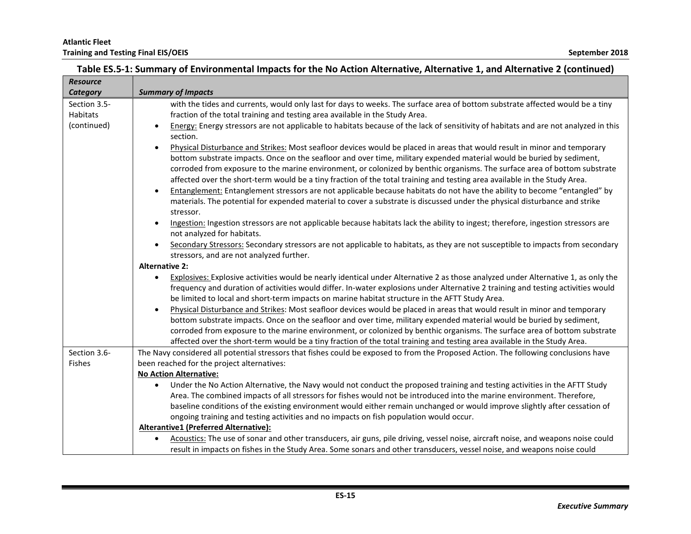| <b>Resource</b> |                                                                                                                                                                                                                                                                                                                                                                                                                                                                                                                           |
|-----------------|---------------------------------------------------------------------------------------------------------------------------------------------------------------------------------------------------------------------------------------------------------------------------------------------------------------------------------------------------------------------------------------------------------------------------------------------------------------------------------------------------------------------------|
| Category        | <b>Summary of Impacts</b>                                                                                                                                                                                                                                                                                                                                                                                                                                                                                                 |
| Section 3.5-    | with the tides and currents, would only last for days to weeks. The surface area of bottom substrate affected would be a tiny                                                                                                                                                                                                                                                                                                                                                                                             |
| Habitats        | fraction of the total training and testing area available in the Study Area.                                                                                                                                                                                                                                                                                                                                                                                                                                              |
| (continued)     | Energy: Energy stressors are not applicable to habitats because of the lack of sensitivity of habitats and are not analyzed in this<br>$\bullet$                                                                                                                                                                                                                                                                                                                                                                          |
|                 | section.                                                                                                                                                                                                                                                                                                                                                                                                                                                                                                                  |
|                 | Physical Disturbance and Strikes: Most seafloor devices would be placed in areas that would result in minor and temporary<br>$\bullet$<br>bottom substrate impacts. Once on the seafloor and over time, military expended material would be buried by sediment,<br>corroded from exposure to the marine environment, or colonized by benthic organisms. The surface area of bottom substrate<br>affected over the short-term would be a tiny fraction of the total training and testing area available in the Study Area. |
|                 | Entanglement: Entanglement stressors are not applicable because habitats do not have the ability to become "entangled" by<br>$\bullet$<br>materials. The potential for expended material to cover a substrate is discussed under the physical disturbance and strike<br>stressor.                                                                                                                                                                                                                                         |
|                 | Ingestion: Ingestion stressors are not applicable because habitats lack the ability to ingest; therefore, ingestion stressors are<br>$\bullet$<br>not analyzed for habitats.                                                                                                                                                                                                                                                                                                                                              |
|                 | Secondary Stressors: Secondary stressors are not applicable to habitats, as they are not susceptible to impacts from secondary<br>$\bullet$<br>stressors, and are not analyzed further.                                                                                                                                                                                                                                                                                                                                   |
|                 | <b>Alternative 2:</b>                                                                                                                                                                                                                                                                                                                                                                                                                                                                                                     |
|                 | Explosives: Explosive activities would be nearly identical under Alternative 2 as those analyzed under Alternative 1, as only the<br>$\bullet$<br>frequency and duration of activities would differ. In-water explosions under Alternative 2 training and testing activities would<br>be limited to local and short-term impacts on marine habitat structure in the AFTT Study Area.                                                                                                                                      |
|                 | Physical Disturbance and Strikes: Most seafloor devices would be placed in areas that would result in minor and temporary<br>$\bullet$<br>bottom substrate impacts. Once on the seafloor and over time, military expended material would be buried by sediment,<br>corroded from exposure to the marine environment, or colonized by benthic organisms. The surface area of bottom substrate<br>affected over the short-term would be a tiny fraction of the total training and testing area available in the Study Area. |
| Section 3.6-    | The Navy considered all potential stressors that fishes could be exposed to from the Proposed Action. The following conclusions have                                                                                                                                                                                                                                                                                                                                                                                      |
| <b>Fishes</b>   | been reached for the project alternatives:                                                                                                                                                                                                                                                                                                                                                                                                                                                                                |
|                 | <b>No Action Alternative:</b>                                                                                                                                                                                                                                                                                                                                                                                                                                                                                             |
|                 | Under the No Action Alternative, the Navy would not conduct the proposed training and testing activities in the AFTT Study<br>$\bullet$<br>Area. The combined impacts of all stressors for fishes would not be introduced into the marine environment. Therefore,<br>baseline conditions of the existing environment would either remain unchanged or would improve slightly after cessation of<br>ongoing training and testing activities and no impacts on fish population would occur.                                 |
|                 | Alterantive1 (Preferred Alternative):                                                                                                                                                                                                                                                                                                                                                                                                                                                                                     |
|                 | Acoustics: The use of sonar and other transducers, air guns, pile driving, vessel noise, aircraft noise, and weapons noise could<br>$\bullet$<br>result in impacts on fishes in the Study Area. Some sonars and other transducers, vessel noise, and weapons noise could                                                                                                                                                                                                                                                  |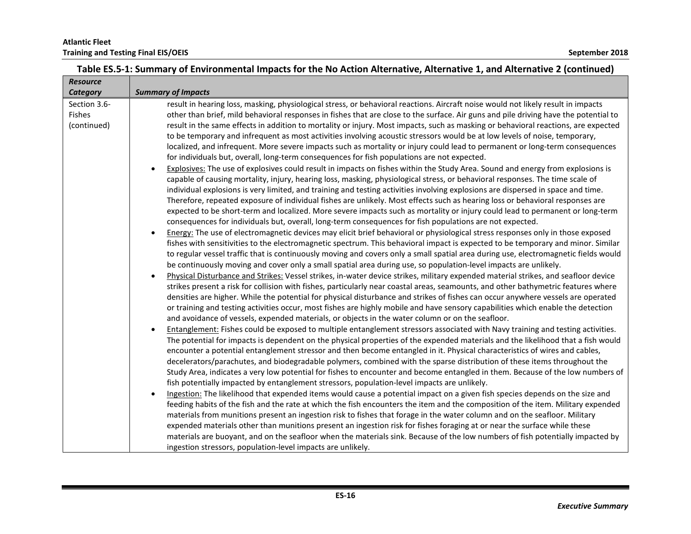| <b>Resource</b> |                                                                                                                                                 |
|-----------------|-------------------------------------------------------------------------------------------------------------------------------------------------|
| Category        | <b>Summary of Impacts</b>                                                                                                                       |
| Section 3.6-    | result in hearing loss, masking, physiological stress, or behavioral reactions. Aircraft noise would not likely result in impacts               |
| <b>Fishes</b>   | other than brief, mild behavioral responses in fishes that are close to the surface. Air guns and pile driving have the potential to            |
| (continued)     | result in the same effects in addition to mortality or injury. Most impacts, such as masking or behavioral reactions, are expected              |
|                 | to be temporary and infrequent as most activities involving acoustic stressors would be at low levels of noise, temporary,                      |
|                 | localized, and infrequent. More severe impacts such as mortality or injury could lead to permanent or long-term consequences                    |
|                 | for individuals but, overall, long-term consequences for fish populations are not expected.                                                     |
|                 | Explosives: The use of explosives could result in impacts on fishes within the Study Area. Sound and energy from explosions is                  |
|                 | capable of causing mortality, injury, hearing loss, masking, physiological stress, or behavioral responses. The time scale of                   |
|                 | individual explosions is very limited, and training and testing activities involving explosions are dispersed in space and time.                |
|                 | Therefore, repeated exposure of individual fishes are unlikely. Most effects such as hearing loss or behavioral responses are                   |
|                 | expected to be short-term and localized. More severe impacts such as mortality or injury could lead to permanent or long-term                   |
|                 | consequences for individuals but, overall, long-term consequences for fish populations are not expected.                                        |
|                 | Energy: The use of electromagnetic devices may elicit brief behavioral or physiological stress responses only in those exposed                  |
|                 | fishes with sensitivities to the electromagnetic spectrum. This behavioral impact is expected to be temporary and minor. Similar                |
|                 | to regular vessel traffic that is continuously moving and covers only a small spatial area during use, electromagnetic fields would             |
|                 | be continuously moving and cover only a small spatial area during use, so population-level impacts are unlikely.                                |
|                 | Physical Disturbance and Strikes: Vessel strikes, in-water device strikes, military expended material strikes, and seafloor device<br>$\bullet$ |
|                 | strikes present a risk for collision with fishes, particularly near coastal areas, seamounts, and other bathymetric features where              |
|                 | densities are higher. While the potential for physical disturbance and strikes of fishes can occur anywhere vessels are operated                |
|                 | or training and testing activities occur, most fishes are highly mobile and have sensory capabilities which enable the detection                |
|                 | and avoidance of vessels, expended materials, or objects in the water column or on the seafloor.                                                |
|                 | Entanglement: Fishes could be exposed to multiple entanglement stressors associated with Navy training and testing activities.                  |
|                 | The potential for impacts is dependent on the physical properties of the expended materials and the likelihood that a fish would                |
|                 | encounter a potential entanglement stressor and then become entangled in it. Physical characteristics of wires and cables,                      |
|                 | decelerators/parachutes, and biodegradable polymers, combined with the sparse distribution of these items throughout the                        |
|                 | Study Area, indicates a very low potential for fishes to encounter and become entangled in them. Because of the low numbers of                  |
|                 | fish potentially impacted by entanglement stressors, population-level impacts are unlikely.                                                     |
|                 | Ingestion: The likelihood that expended items would cause a potential impact on a given fish species depends on the size and                    |
|                 | feeding habits of the fish and the rate at which the fish encounters the item and the composition of the item. Military expended                |
|                 | materials from munitions present an ingestion risk to fishes that forage in the water column and on the seafloor. Military                      |
|                 | expended materials other than munitions present an ingestion risk for fishes foraging at or near the surface while these                        |
|                 | materials are buoyant, and on the seafloor when the materials sink. Because of the low numbers of fish potentially impacted by                  |
|                 | ingestion stressors, population-level impacts are unlikely.                                                                                     |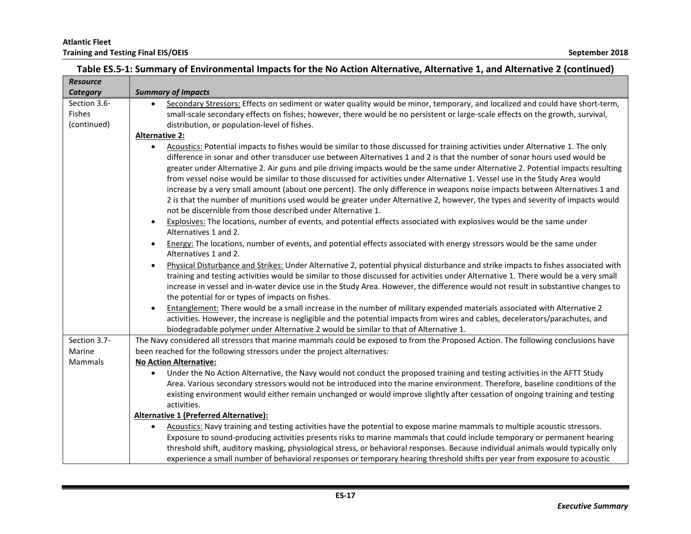|  | Table ES.5-1: Summary of Environmental Impacts for the No Action Alternative, Alternative 1, and Alternative 2 (continued) |
|--|----------------------------------------------------------------------------------------------------------------------------|
|  |                                                                                                                            |

| <b>Resource</b> |                                                                                                                                                 |
|-----------------|-------------------------------------------------------------------------------------------------------------------------------------------------|
| Category        | <b>Summary of Impacts</b>                                                                                                                       |
| Section 3.6-    | Secondary Stressors: Effects on sediment or water quality would be minor, temporary, and localized and could have short-term,                   |
| <b>Fishes</b>   | small-scale secondary effects on fishes; however, there would be no persistent or large-scale effects on the growth, survival,                  |
| (continued)     | distribution, or population-level of fishes.                                                                                                    |
|                 | <b>Alternative 2:</b>                                                                                                                           |
|                 | Acoustics: Potential impacts to fishes would be similar to those discussed for training activities under Alternative 1. The only                |
|                 | difference in sonar and other transducer use between Alternatives 1 and 2 is that the number of sonar hours used would be                       |
|                 | greater under Alternative 2. Air guns and pile driving impacts would be the same under Alternative 2. Potential impacts resulting               |
|                 | from vessel noise would be similar to those discussed for activities under Alternative 1. Vessel use in the Study Area would                    |
|                 | increase by a very small amount (about one percent). The only difference in weapons noise impacts between Alternatives 1 and                    |
|                 | 2 is that the number of munitions used would be greater under Alternative 2, however, the types and severity of impacts would                   |
|                 | not be discernible from those described under Alternative 1.                                                                                    |
|                 | Explosives: The locations, number of events, and potential effects associated with explosives would be the same under                           |
|                 | Alternatives 1 and 2.                                                                                                                           |
|                 | Energy: The locations, number of events, and potential effects associated with energy stressors would be the same under<br>$\bullet$            |
|                 | Alternatives 1 and 2.                                                                                                                           |
|                 | Physical Disturbance and Strikes: Under Alternative 2, potential physical disturbance and strike impacts to fishes associated with<br>$\bullet$ |
|                 | training and testing activities would be similar to those discussed for activities under Alternative 1. There would be a very small             |
|                 | increase in vessel and in-water device use in the Study Area. However, the difference would not result in substantive changes to                |
|                 | the potential for or types of impacts on fishes.                                                                                                |
|                 | Entanglement: There would be a small increase in the number of military expended materials associated with Alternative 2<br>$\bullet$           |
|                 | activities. However, the increase is negligible and the potential impacts from wires and cables, decelerators/parachutes, and                   |
|                 | biodegradable polymer under Alternative 2 would be similar to that of Alternative 1.                                                            |
| Section 3.7-    | The Navy considered all stressors that marine mammals could be exposed to from the Proposed Action. The following conclusions have              |
| Marine          | been reached for the following stressors under the project alternatives:                                                                        |
| Mammals         | <b>No Action Alternative:</b>                                                                                                                   |
|                 | Under the No Action Alternative, the Navy would not conduct the proposed training and testing activities in the AFTT Study                      |
|                 | Area. Various secondary stressors would not be introduced into the marine environment. Therefore, baseline conditions of the                    |
|                 | existing environment would either remain unchanged or would improve slightly after cessation of ongoing training and testing                    |
|                 | activities.                                                                                                                                     |
|                 | <b>Alternative 1 (Preferred Alternative):</b>                                                                                                   |
|                 | Acoustics: Navy training and testing activities have the potential to expose marine mammals to multiple acoustic stressors.                     |
|                 | Exposure to sound-producing activities presents risks to marine mammals that could include temporary or permanent hearing                       |
|                 | threshold shift, auditory masking, physiological stress, or behavioral responses. Because individual animals would typically only               |
|                 | experience a small number of behavioral responses or temporary hearing threshold shifts per year from exposure to acoustic                      |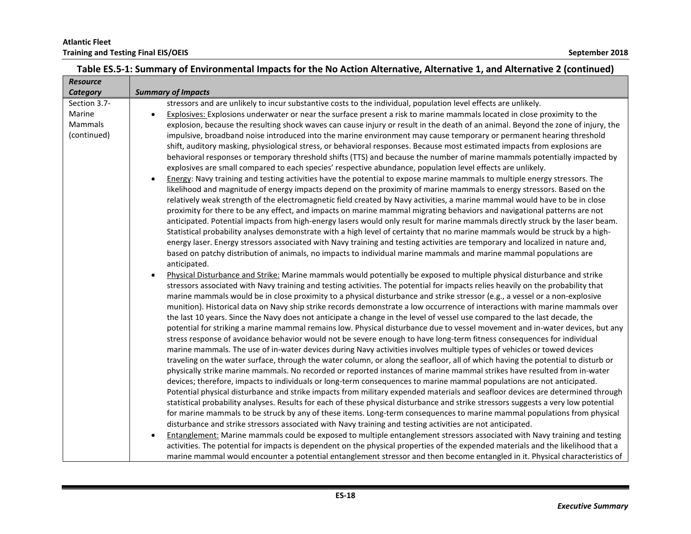| <b>Resource</b> |                                                                                                                                                                                                                                                   |
|-----------------|---------------------------------------------------------------------------------------------------------------------------------------------------------------------------------------------------------------------------------------------------|
| Category        | <b>Summary of Impacts</b>                                                                                                                                                                                                                         |
| Section 3.7-    | stressors and are unlikely to incur substantive costs to the individual, population level effects are unlikely.                                                                                                                                   |
| Marine          | Explosives: Explosions underwater or near the surface present a risk to marine mammals located in close proximity to the                                                                                                                          |
| <b>Mammals</b>  | explosion, because the resulting shock waves can cause injury or result in the death of an animal. Beyond the zone of injury, the                                                                                                                 |
| (continued)     | impulsive, broadband noise introduced into the marine environment may cause temporary or permanent hearing threshold                                                                                                                              |
|                 | shift, auditory masking, physiological stress, or behavioral responses. Because most estimated impacts from explosions are                                                                                                                        |
|                 | behavioral responses or temporary threshold shifts (TTS) and because the number of marine mammals potentially impacted by                                                                                                                         |
|                 | explosives are small compared to each species' respective abundance, population level effects are unlikely.                                                                                                                                       |
|                 | Energy: Navy training and testing activities have the potential to expose marine mammals to multiple energy stressors. The                                                                                                                        |
|                 | likelihood and magnitude of energy impacts depend on the proximity of marine mammals to energy stressors. Based on the                                                                                                                            |
|                 | relatively weak strength of the electromagnetic field created by Navy activities, a marine mammal would have to be in close                                                                                                                       |
|                 | proximity for there to be any effect, and impacts on marine mammal migrating behaviors and navigational patterns are not                                                                                                                          |
|                 | anticipated. Potential impacts from high-energy lasers would only result for marine mammals directly struck by the laser beam.                                                                                                                    |
|                 | Statistical probability analyses demonstrate with a high level of certainty that no marine mammals would be struck by a high-                                                                                                                     |
|                 | energy laser. Energy stressors associated with Navy training and testing activities are temporary and localized in nature and,                                                                                                                    |
|                 | based on patchy distribution of animals, no impacts to individual marine mammals and marine mammal populations are                                                                                                                                |
|                 | anticipated.                                                                                                                                                                                                                                      |
|                 | Physical Disturbance and Strike: Marine mammals would potentially be exposed to multiple physical disturbance and strike<br>$\bullet$                                                                                                             |
|                 | stressors associated with Navy training and testing activities. The potential for impacts relies heavily on the probability that                                                                                                                  |
|                 | marine mammals would be in close proximity to a physical disturbance and strike stressor (e.g., a vessel or a non-explosive                                                                                                                       |
|                 | munition). Historical data on Navy ship strike records demonstrate a low occurrence of interactions with marine mammals over                                                                                                                      |
|                 | the last 10 years. Since the Navy does not anticipate a change in the level of vessel use compared to the last decade, the                                                                                                                        |
|                 | potential for striking a marine mammal remains low. Physical disturbance due to vessel movement and in-water devices, but any                                                                                                                     |
|                 | stress response of avoidance behavior would not be severe enough to have long-term fitness consequences for individual<br>marine mammals. The use of in-water devices during Navy activities involves multiple types of vehicles or towed devices |
|                 | traveling on the water surface, through the water column, or along the seafloor, all of which having the potential to disturb or                                                                                                                  |
|                 | physically strike marine mammals. No recorded or reported instances of marine mammal strikes have resulted from in-water                                                                                                                          |
|                 | devices; therefore, impacts to individuals or long-term consequences to marine mammal populations are not anticipated.                                                                                                                            |
|                 | Potential physical disturbance and strike impacts from military expended materials and seafloor devices are determined through                                                                                                                    |
|                 | statistical probability analyses. Results for each of these physical disturbance and strike stressors suggests a very low potential                                                                                                               |
|                 | for marine mammals to be struck by any of these items. Long-term consequences to marine mammal populations from physical                                                                                                                          |
|                 | disturbance and strike stressors associated with Navy training and testing activities are not anticipated.                                                                                                                                        |
|                 | Entanglement: Marine mammals could be exposed to multiple entanglement stressors associated with Navy training and testing                                                                                                                        |
|                 | activities. The potential for impacts is dependent on the physical properties of the expended materials and the likelihood that a                                                                                                                 |
|                 | marine mammal would encounter a potential entanglement stressor and then become entangled in it. Physical characteristics of                                                                                                                      |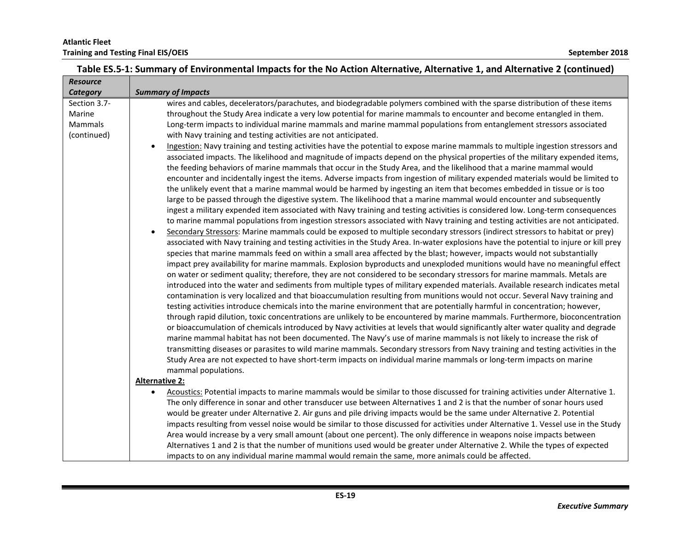| <b>Resource</b> |                                                                                                                                                                                                                                                                                                                                                                                                                                                                                                                                                                                                                                                                                                                                                                                                                                                                                                                                                                                                                                                                                                                                                                                                                                                                                                                                                                                                                                                                                                                                                                                                                                                                                                                                                                                                                                                                                                                                                                                                                                                                                                                                                                                                                                                                                                                                                                                                   |
|-----------------|---------------------------------------------------------------------------------------------------------------------------------------------------------------------------------------------------------------------------------------------------------------------------------------------------------------------------------------------------------------------------------------------------------------------------------------------------------------------------------------------------------------------------------------------------------------------------------------------------------------------------------------------------------------------------------------------------------------------------------------------------------------------------------------------------------------------------------------------------------------------------------------------------------------------------------------------------------------------------------------------------------------------------------------------------------------------------------------------------------------------------------------------------------------------------------------------------------------------------------------------------------------------------------------------------------------------------------------------------------------------------------------------------------------------------------------------------------------------------------------------------------------------------------------------------------------------------------------------------------------------------------------------------------------------------------------------------------------------------------------------------------------------------------------------------------------------------------------------------------------------------------------------------------------------------------------------------------------------------------------------------------------------------------------------------------------------------------------------------------------------------------------------------------------------------------------------------------------------------------------------------------------------------------------------------------------------------------------------------------------------------------------------------|
| Category        | <b>Summary of Impacts</b>                                                                                                                                                                                                                                                                                                                                                                                                                                                                                                                                                                                                                                                                                                                                                                                                                                                                                                                                                                                                                                                                                                                                                                                                                                                                                                                                                                                                                                                                                                                                                                                                                                                                                                                                                                                                                                                                                                                                                                                                                                                                                                                                                                                                                                                                                                                                                                         |
| Section 3.7-    | wires and cables, decelerators/parachutes, and biodegradable polymers combined with the sparse distribution of these items                                                                                                                                                                                                                                                                                                                                                                                                                                                                                                                                                                                                                                                                                                                                                                                                                                                                                                                                                                                                                                                                                                                                                                                                                                                                                                                                                                                                                                                                                                                                                                                                                                                                                                                                                                                                                                                                                                                                                                                                                                                                                                                                                                                                                                                                        |
| Marine          | throughout the Study Area indicate a very low potential for marine mammals to encounter and become entangled in them.                                                                                                                                                                                                                                                                                                                                                                                                                                                                                                                                                                                                                                                                                                                                                                                                                                                                                                                                                                                                                                                                                                                                                                                                                                                                                                                                                                                                                                                                                                                                                                                                                                                                                                                                                                                                                                                                                                                                                                                                                                                                                                                                                                                                                                                                             |
| Mammals         | Long-term impacts to individual marine mammals and marine mammal populations from entanglement stressors associated                                                                                                                                                                                                                                                                                                                                                                                                                                                                                                                                                                                                                                                                                                                                                                                                                                                                                                                                                                                                                                                                                                                                                                                                                                                                                                                                                                                                                                                                                                                                                                                                                                                                                                                                                                                                                                                                                                                                                                                                                                                                                                                                                                                                                                                                               |
| (continued)     | with Navy training and testing activities are not anticipated.                                                                                                                                                                                                                                                                                                                                                                                                                                                                                                                                                                                                                                                                                                                                                                                                                                                                                                                                                                                                                                                                                                                                                                                                                                                                                                                                                                                                                                                                                                                                                                                                                                                                                                                                                                                                                                                                                                                                                                                                                                                                                                                                                                                                                                                                                                                                    |
|                 | Ingestion: Navy training and testing activities have the potential to expose marine mammals to multiple ingestion stressors and<br>$\bullet$<br>associated impacts. The likelihood and magnitude of impacts depend on the physical properties of the military expended items,<br>the feeding behaviors of marine mammals that occur in the Study Area, and the likelihood that a marine mammal would<br>encounter and incidentally ingest the items. Adverse impacts from ingestion of military expended materials would be limited to<br>the unlikely event that a marine mammal would be harmed by ingesting an item that becomes embedded in tissue or is too<br>large to be passed through the digestive system. The likelihood that a marine mammal would encounter and subsequently<br>ingest a military expended item associated with Navy training and testing activities is considered low. Long-term consequences<br>to marine mammal populations from ingestion stressors associated with Navy training and testing activities are not anticipated.<br>Secondary Stressors: Marine mammals could be exposed to multiple secondary stressors (indirect stressors to habitat or prey)<br>associated with Navy training and testing activities in the Study Area. In-water explosions have the potential to injure or kill prey<br>species that marine mammals feed on within a small area affected by the blast; however, impacts would not substantially<br>impact prey availability for marine mammals. Explosion byproducts and unexploded munitions would have no meaningful effect<br>on water or sediment quality; therefore, they are not considered to be secondary stressors for marine mammals. Metals are<br>introduced into the water and sediments from multiple types of military expended materials. Available research indicates metal<br>contamination is very localized and that bioaccumulation resulting from munitions would not occur. Several Navy training and<br>testing activities introduce chemicals into the marine environment that are potentially harmful in concentration; however,<br>through rapid dilution, toxic concentrations are unlikely to be encountered by marine mammals. Furthermore, bioconcentration<br>or bioaccumulation of chemicals introduced by Navy activities at levels that would significantly alter water quality and degrade |
|                 | marine mammal habitat has not been documented. The Navy's use of marine mammals is not likely to increase the risk of<br>transmitting diseases or parasites to wild marine mammals. Secondary stressors from Navy training and testing activities in the                                                                                                                                                                                                                                                                                                                                                                                                                                                                                                                                                                                                                                                                                                                                                                                                                                                                                                                                                                                                                                                                                                                                                                                                                                                                                                                                                                                                                                                                                                                                                                                                                                                                                                                                                                                                                                                                                                                                                                                                                                                                                                                                          |
|                 | Study Area are not expected to have short-term impacts on individual marine mammals or long-term impacts on marine                                                                                                                                                                                                                                                                                                                                                                                                                                                                                                                                                                                                                                                                                                                                                                                                                                                                                                                                                                                                                                                                                                                                                                                                                                                                                                                                                                                                                                                                                                                                                                                                                                                                                                                                                                                                                                                                                                                                                                                                                                                                                                                                                                                                                                                                                |
|                 | mammal populations.                                                                                                                                                                                                                                                                                                                                                                                                                                                                                                                                                                                                                                                                                                                                                                                                                                                                                                                                                                                                                                                                                                                                                                                                                                                                                                                                                                                                                                                                                                                                                                                                                                                                                                                                                                                                                                                                                                                                                                                                                                                                                                                                                                                                                                                                                                                                                                               |
|                 | <b>Alternative 2:</b>                                                                                                                                                                                                                                                                                                                                                                                                                                                                                                                                                                                                                                                                                                                                                                                                                                                                                                                                                                                                                                                                                                                                                                                                                                                                                                                                                                                                                                                                                                                                                                                                                                                                                                                                                                                                                                                                                                                                                                                                                                                                                                                                                                                                                                                                                                                                                                             |
|                 | Acoustics: Potential impacts to marine mammals would be similar to those discussed for training activities under Alternative 1.                                                                                                                                                                                                                                                                                                                                                                                                                                                                                                                                                                                                                                                                                                                                                                                                                                                                                                                                                                                                                                                                                                                                                                                                                                                                                                                                                                                                                                                                                                                                                                                                                                                                                                                                                                                                                                                                                                                                                                                                                                                                                                                                                                                                                                                                   |
|                 | The only difference in sonar and other transducer use between Alternatives 1 and 2 is that the number of sonar hours used                                                                                                                                                                                                                                                                                                                                                                                                                                                                                                                                                                                                                                                                                                                                                                                                                                                                                                                                                                                                                                                                                                                                                                                                                                                                                                                                                                                                                                                                                                                                                                                                                                                                                                                                                                                                                                                                                                                                                                                                                                                                                                                                                                                                                                                                         |
|                 | would be greater under Alternative 2. Air guns and pile driving impacts would be the same under Alternative 2. Potential                                                                                                                                                                                                                                                                                                                                                                                                                                                                                                                                                                                                                                                                                                                                                                                                                                                                                                                                                                                                                                                                                                                                                                                                                                                                                                                                                                                                                                                                                                                                                                                                                                                                                                                                                                                                                                                                                                                                                                                                                                                                                                                                                                                                                                                                          |
|                 | impacts resulting from vessel noise would be similar to those discussed for activities under Alternative 1. Vessel use in the Study                                                                                                                                                                                                                                                                                                                                                                                                                                                                                                                                                                                                                                                                                                                                                                                                                                                                                                                                                                                                                                                                                                                                                                                                                                                                                                                                                                                                                                                                                                                                                                                                                                                                                                                                                                                                                                                                                                                                                                                                                                                                                                                                                                                                                                                               |
|                 | Area would increase by a very small amount (about one percent). The only difference in weapons noise impacts between                                                                                                                                                                                                                                                                                                                                                                                                                                                                                                                                                                                                                                                                                                                                                                                                                                                                                                                                                                                                                                                                                                                                                                                                                                                                                                                                                                                                                                                                                                                                                                                                                                                                                                                                                                                                                                                                                                                                                                                                                                                                                                                                                                                                                                                                              |
|                 | Alternatives 1 and 2 is that the number of munitions used would be greater under Alternative 2. While the types of expected                                                                                                                                                                                                                                                                                                                                                                                                                                                                                                                                                                                                                                                                                                                                                                                                                                                                                                                                                                                                                                                                                                                                                                                                                                                                                                                                                                                                                                                                                                                                                                                                                                                                                                                                                                                                                                                                                                                                                                                                                                                                                                                                                                                                                                                                       |
|                 | impacts to on any individual marine mammal would remain the same, more animals could be affected.                                                                                                                                                                                                                                                                                                                                                                                                                                                                                                                                                                                                                                                                                                                                                                                                                                                                                                                                                                                                                                                                                                                                                                                                                                                                                                                                                                                                                                                                                                                                                                                                                                                                                                                                                                                                                                                                                                                                                                                                                                                                                                                                                                                                                                                                                                 |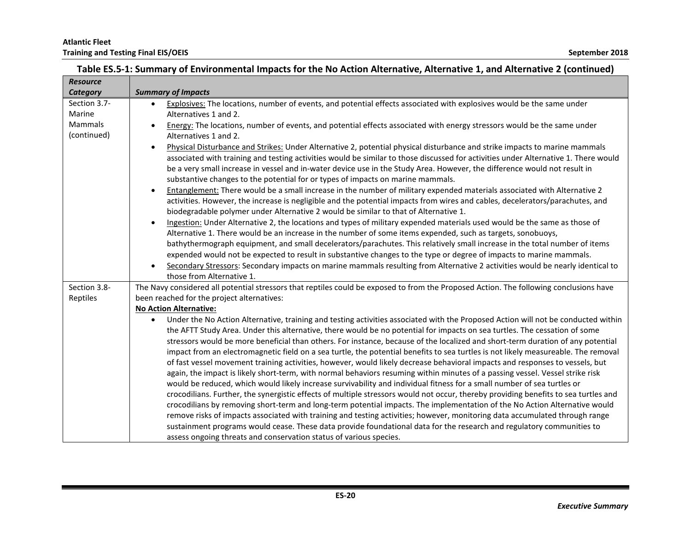| <b>Resource</b> |                                                                                                                                                                                                                                                                       |
|-----------------|-----------------------------------------------------------------------------------------------------------------------------------------------------------------------------------------------------------------------------------------------------------------------|
| Category        | <b>Summary of Impacts</b>                                                                                                                                                                                                                                             |
| Section 3.7-    | Explosives: The locations, number of events, and potential effects associated with explosives would be the same under<br>$\bullet$                                                                                                                                    |
| Marine          | Alternatives 1 and 2.                                                                                                                                                                                                                                                 |
| Mammals         | Energy: The locations, number of events, and potential effects associated with energy stressors would be the same under                                                                                                                                               |
| (continued)     | Alternatives 1 and 2.                                                                                                                                                                                                                                                 |
|                 | Physical Disturbance and Strikes: Under Alternative 2, potential physical disturbance and strike impacts to marine mammals<br>$\bullet$                                                                                                                               |
|                 | associated with training and testing activities would be similar to those discussed for activities under Alternative 1. There would                                                                                                                                   |
|                 | be a very small increase in vessel and in-water device use in the Study Area. However, the difference would not result in                                                                                                                                             |
|                 | substantive changes to the potential for or types of impacts on marine mammals.                                                                                                                                                                                       |
|                 | Entanglement: There would be a small increase in the number of military expended materials associated with Alternative 2<br>$\bullet$                                                                                                                                 |
|                 | activities. However, the increase is negligible and the potential impacts from wires and cables, decelerators/parachutes, and                                                                                                                                         |
|                 | biodegradable polymer under Alternative 2 would be similar to that of Alternative 1.                                                                                                                                                                                  |
|                 | Ingestion: Under Alternative 2, the locations and types of military expended materials used would be the same as those of                                                                                                                                             |
|                 | Alternative 1. There would be an increase in the number of some items expended, such as targets, sonobuoys,                                                                                                                                                           |
|                 | bathythermograph equipment, and small decelerators/parachutes. This relatively small increase in the total number of items                                                                                                                                            |
|                 | expended would not be expected to result in substantive changes to the type or degree of impacts to marine mammals.                                                                                                                                                   |
|                 | Secondary Stressors: Secondary impacts on marine mammals resulting from Alternative 2 activities would be nearly identical to<br>$\bullet$                                                                                                                            |
|                 | those from Alternative 1.                                                                                                                                                                                                                                             |
| Section 3.8-    | The Navy considered all potential stressors that reptiles could be exposed to from the Proposed Action. The following conclusions have                                                                                                                                |
| Reptiles        | been reached for the project alternatives:                                                                                                                                                                                                                            |
|                 | <b>No Action Alternative:</b>                                                                                                                                                                                                                                         |
|                 | Under the No Action Alternative, training and testing activities associated with the Proposed Action will not be conducted within<br>$\bullet$                                                                                                                        |
|                 | the AFTT Study Area. Under this alternative, there would be no potential for impacts on sea turtles. The cessation of some                                                                                                                                            |
|                 | stressors would be more beneficial than others. For instance, because of the localized and short-term duration of any potential<br>impact from an electromagnetic field on a sea turtle, the potential benefits to sea turtles is not likely measureable. The removal |
|                 | of fast vessel movement training activities, however, would likely decrease behavioral impacts and responses to vessels, but                                                                                                                                          |
|                 | again, the impact is likely short-term, with normal behaviors resuming within minutes of a passing vessel. Vessel strike risk                                                                                                                                         |
|                 | would be reduced, which would likely increase survivability and individual fitness for a small number of sea turtles or                                                                                                                                               |
|                 | crocodilians. Further, the synergistic effects of multiple stressors would not occur, thereby providing benefits to sea turtles and                                                                                                                                   |
|                 | crocodilians by removing short-term and long-term potential impacts. The implementation of the No Action Alternative would                                                                                                                                            |
|                 | remove risks of impacts associated with training and testing activities; however, monitoring data accumulated through range                                                                                                                                           |
|                 | sustainment programs would cease. These data provide foundational data for the research and regulatory communities to                                                                                                                                                 |
|                 | assess ongoing threats and conservation status of various species.                                                                                                                                                                                                    |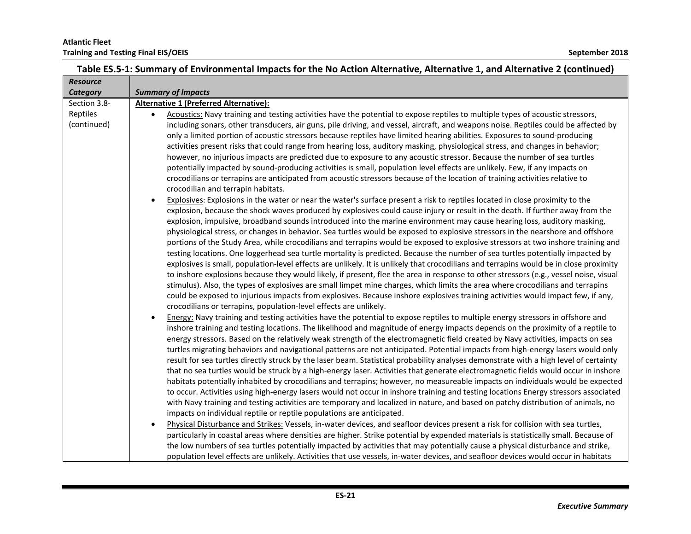| <b>Resource</b> |                                                                                                                                                                                                                                                                          |
|-----------------|--------------------------------------------------------------------------------------------------------------------------------------------------------------------------------------------------------------------------------------------------------------------------|
| Category        | <b>Summary of Impacts</b>                                                                                                                                                                                                                                                |
| Section 3.8-    | <b>Alternative 1 (Preferred Alternative):</b>                                                                                                                                                                                                                            |
| Reptiles        | Acoustics: Navy training and testing activities have the potential to expose reptiles to multiple types of acoustic stressors,                                                                                                                                           |
| (continued)     | including sonars, other transducers, air guns, pile driving, and vessel, aircraft, and weapons noise. Reptiles could be affected by                                                                                                                                      |
|                 | only a limited portion of acoustic stressors because reptiles have limited hearing abilities. Exposures to sound-producing                                                                                                                                               |
|                 | activities present risks that could range from hearing loss, auditory masking, physiological stress, and changes in behavior;                                                                                                                                            |
|                 | however, no injurious impacts are predicted due to exposure to any acoustic stressor. Because the number of sea turtles                                                                                                                                                  |
|                 | potentially impacted by sound-producing activities is small, population level effects are unlikely. Few, if any impacts on                                                                                                                                               |
|                 | crocodilians or terrapins are anticipated from acoustic stressors because of the location of training activities relative to                                                                                                                                             |
|                 | crocodilian and terrapin habitats.                                                                                                                                                                                                                                       |
|                 | Explosives: Explosions in the water or near the water's surface present a risk to reptiles located in close proximity to the                                                                                                                                             |
|                 | explosion, because the shock waves produced by explosives could cause injury or result in the death. If further away from the                                                                                                                                            |
|                 | explosion, impulsive, broadband sounds introduced into the marine environment may cause hearing loss, auditory masking,                                                                                                                                                  |
|                 | physiological stress, or changes in behavior. Sea turtles would be exposed to explosive stressors in the nearshore and offshore                                                                                                                                          |
|                 | portions of the Study Area, while crocodilians and terrapins would be exposed to explosive stressors at two inshore training and                                                                                                                                         |
|                 | testing locations. One loggerhead sea turtle mortality is predicted. Because the number of sea turtles potentially impacted by                                                                                                                                           |
|                 | explosives is small, population-level effects are unlikely. It is unlikely that crocodilians and terrapins would be in close proximity                                                                                                                                   |
|                 | to inshore explosions because they would likely, if present, flee the area in response to other stressors (e.g., vessel noise, visual                                                                                                                                    |
|                 | stimulus). Also, the types of explosives are small limpet mine charges, which limits the area where crocodilians and terrapins                                                                                                                                           |
|                 | could be exposed to injurious impacts from explosives. Because inshore explosives training activities would impact few, if any,                                                                                                                                          |
|                 | crocodilians or terrapins, population-level effects are unlikely.                                                                                                                                                                                                        |
|                 | Energy: Navy training and testing activities have the potential to expose reptiles to multiple energy stressors in offshore and<br>$\bullet$                                                                                                                             |
|                 | inshore training and testing locations. The likelihood and magnitude of energy impacts depends on the proximity of a reptile to                                                                                                                                          |
|                 | energy stressors. Based on the relatively weak strength of the electromagnetic field created by Navy activities, impacts on sea                                                                                                                                          |
|                 | turtles migrating behaviors and navigational patterns are not anticipated. Potential impacts from high-energy lasers would only<br>result for sea turtles directly struck by the laser beam. Statistical probability analyses demonstrate with a high level of certainty |
|                 | that no sea turtles would be struck by a high-energy laser. Activities that generate electromagnetic fields would occur in inshore                                                                                                                                       |
|                 | habitats potentially inhabited by crocodilians and terrapins; however, no measureable impacts on individuals would be expected                                                                                                                                           |
|                 | to occur. Activities using high-energy lasers would not occur in inshore training and testing locations Energy stressors associated                                                                                                                                      |
|                 | with Navy training and testing activities are temporary and localized in nature, and based on patchy distribution of animals, no                                                                                                                                         |
|                 | impacts on individual reptile or reptile populations are anticipated.                                                                                                                                                                                                    |
|                 | Physical Disturbance and Strikes: Vessels, in-water devices, and seafloor devices present a risk for collision with sea turtles,<br>$\bullet$                                                                                                                            |
|                 | particularly in coastal areas where densities are higher. Strike potential by expended materials is statistically small. Because of                                                                                                                                      |
|                 | the low numbers of sea turtles potentially impacted by activities that may potentially cause a physical disturbance and strike,                                                                                                                                          |
|                 | population level effects are unlikely. Activities that use vessels, in-water devices, and seafloor devices would occur in habitats                                                                                                                                       |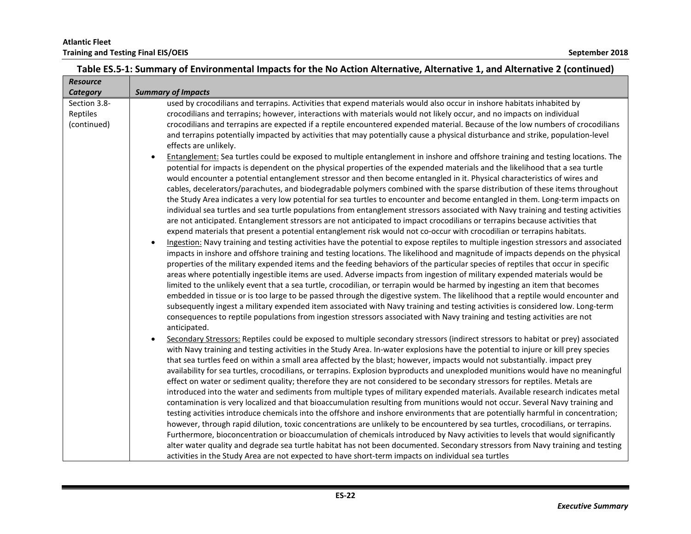| <b>Resource</b>                         |                                                                                                                                                                                                                                                                                                                                                                                                                                                                                                                                                                                                                                                                                                                                                                                                                                                                                                                                                                                                                                                                                                                                                                                                                                                                                                                                                                                                                                                                                                                                                                                                                                                                                                                                                                                                                                                                                                                                                                                                                                                                                                                                                                                                                                                                                                                                                                                                                                                                                                                                                                                                                                                                                                       |
|-----------------------------------------|-------------------------------------------------------------------------------------------------------------------------------------------------------------------------------------------------------------------------------------------------------------------------------------------------------------------------------------------------------------------------------------------------------------------------------------------------------------------------------------------------------------------------------------------------------------------------------------------------------------------------------------------------------------------------------------------------------------------------------------------------------------------------------------------------------------------------------------------------------------------------------------------------------------------------------------------------------------------------------------------------------------------------------------------------------------------------------------------------------------------------------------------------------------------------------------------------------------------------------------------------------------------------------------------------------------------------------------------------------------------------------------------------------------------------------------------------------------------------------------------------------------------------------------------------------------------------------------------------------------------------------------------------------------------------------------------------------------------------------------------------------------------------------------------------------------------------------------------------------------------------------------------------------------------------------------------------------------------------------------------------------------------------------------------------------------------------------------------------------------------------------------------------------------------------------------------------------------------------------------------------------------------------------------------------------------------------------------------------------------------------------------------------------------------------------------------------------------------------------------------------------------------------------------------------------------------------------------------------------------------------------------------------------------------------------------------------------|
| Category                                | <b>Summary of Impacts</b>                                                                                                                                                                                                                                                                                                                                                                                                                                                                                                                                                                                                                                                                                                                                                                                                                                                                                                                                                                                                                                                                                                                                                                                                                                                                                                                                                                                                                                                                                                                                                                                                                                                                                                                                                                                                                                                                                                                                                                                                                                                                                                                                                                                                                                                                                                                                                                                                                                                                                                                                                                                                                                                                             |
| Section 3.8-<br>Reptiles<br>(continued) | used by crocodilians and terrapins. Activities that expend materials would also occur in inshore habitats inhabited by<br>crocodilians and terrapins; however, interactions with materials would not likely occur, and no impacts on individual<br>crocodilians and terrapins are expected if a reptile encountered expended material. Because of the low numbers of crocodilians<br>and terrapins potentially impacted by activities that may potentially cause a physical disturbance and strike, population-level<br>effects are unlikely.<br>Entanglement: Sea turtles could be exposed to multiple entanglement in inshore and offshore training and testing locations. The<br>$\bullet$<br>potential for impacts is dependent on the physical properties of the expended materials and the likelihood that a sea turtle<br>would encounter a potential entanglement stressor and then become entangled in it. Physical characteristics of wires and<br>cables, decelerators/parachutes, and biodegradable polymers combined with the sparse distribution of these items throughout<br>the Study Area indicates a very low potential for sea turtles to encounter and become entangled in them. Long-term impacts on<br>individual sea turtles and sea turtle populations from entanglement stressors associated with Navy training and testing activities<br>are not anticipated. Entanglement stressors are not anticipated to impact crocodilians or terrapins because activities that<br>expend materials that present a potential entanglement risk would not co-occur with crocodilian or terrapins habitats.<br>Ingestion: Navy training and testing activities have the potential to expose reptiles to multiple ingestion stressors and associated<br>impacts in inshore and offshore training and testing locations. The likelihood and magnitude of impacts depends on the physical<br>properties of the military expended items and the feeding behaviors of the particular species of reptiles that occur in specific<br>areas where potentially ingestible items are used. Adverse impacts from ingestion of military expended materials would be<br>limited to the unlikely event that a sea turtle, crocodilian, or terrapin would be harmed by ingesting an item that becomes<br>embedded in tissue or is too large to be passed through the digestive system. The likelihood that a reptile would encounter and<br>subsequently ingest a military expended item associated with Navy training and testing activities is considered low. Long-term<br>consequences to reptile populations from ingestion stressors associated with Navy training and testing activities are not |
|                                         | anticipated.<br>Secondary Stressors: Reptiles could be exposed to multiple secondary stressors (indirect stressors to habitat or prey) associated<br>with Navy training and testing activities in the Study Area. In-water explosions have the potential to injure or kill prey species<br>that sea turtles feed on within a small area affected by the blast; however, impacts would not substantially. impact prey<br>availability for sea turtles, crocodilians, or terrapins. Explosion byproducts and unexploded munitions would have no meaningful<br>effect on water or sediment quality; therefore they are not considered to be secondary stressors for reptiles. Metals are<br>introduced into the water and sediments from multiple types of military expended materials. Available research indicates metal<br>contamination is very localized and that bioaccumulation resulting from munitions would not occur. Several Navy training and<br>testing activities introduce chemicals into the offshore and inshore environments that are potentially harmful in concentration;<br>however, through rapid dilution, toxic concentrations are unlikely to be encountered by sea turtles, crocodilians, or terrapins.<br>Furthermore, bioconcentration or bioaccumulation of chemicals introduced by Navy activities to levels that would significantly<br>alter water quality and degrade sea turtle habitat has not been documented. Secondary stressors from Navy training and testing<br>activities in the Study Area are not expected to have short-term impacts on individual sea turtles                                                                                                                                                                                                                                                                                                                                                                                                                                                                                                                                                                                                                                                                                                                                                                                                                                                                                                                                                                                                                                                                                             |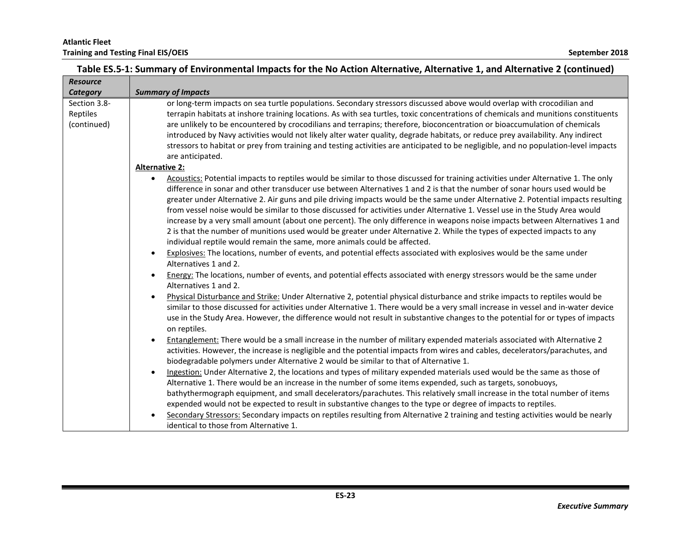| <b>Resource</b> |                                                                                                                                                                                                                                                                 |
|-----------------|-----------------------------------------------------------------------------------------------------------------------------------------------------------------------------------------------------------------------------------------------------------------|
| Category        | <b>Summary of Impacts</b>                                                                                                                                                                                                                                       |
| Section 3.8-    | or long-term impacts on sea turtle populations. Secondary stressors discussed above would overlap with crocodilian and                                                                                                                                          |
| Reptiles        | terrapin habitats at inshore training locations. As with sea turtles, toxic concentrations of chemicals and munitions constituents                                                                                                                              |
| (continued)     | are unlikely to be encountered by crocodilians and terrapins; therefore, bioconcentration or bioaccumulation of chemicals                                                                                                                                       |
|                 | introduced by Navy activities would not likely alter water quality, degrade habitats, or reduce prey availability. Any indirect                                                                                                                                 |
|                 | stressors to habitat or prey from training and testing activities are anticipated to be negligible, and no population-level impacts                                                                                                                             |
|                 | are anticipated.<br><b>Alternative 2:</b>                                                                                                                                                                                                                       |
|                 |                                                                                                                                                                                                                                                                 |
|                 | Acoustics: Potential impacts to reptiles would be similar to those discussed for training activities under Alternative 1. The only<br>difference in sonar and other transducer use between Alternatives 1 and 2 is that the number of sonar hours used would be |
|                 | greater under Alternative 2. Air guns and pile driving impacts would be the same under Alternative 2. Potential impacts resulting                                                                                                                               |
|                 | from vessel noise would be similar to those discussed for activities under Alternative 1. Vessel use in the Study Area would                                                                                                                                    |
|                 | increase by a very small amount (about one percent). The only difference in weapons noise impacts between Alternatives 1 and                                                                                                                                    |
|                 | 2 is that the number of munitions used would be greater under Alternative 2. While the types of expected impacts to any                                                                                                                                         |
|                 | individual reptile would remain the same, more animals could be affected.                                                                                                                                                                                       |
|                 | Explosives: The locations, number of events, and potential effects associated with explosives would be the same under<br>$\bullet$                                                                                                                              |
|                 | Alternatives 1 and 2.                                                                                                                                                                                                                                           |
|                 | Energy: The locations, number of events, and potential effects associated with energy stressors would be the same under<br>$\bullet$                                                                                                                            |
|                 | Alternatives 1 and 2.                                                                                                                                                                                                                                           |
|                 | Physical Disturbance and Strike: Under Alternative 2, potential physical disturbance and strike impacts to reptiles would be                                                                                                                                    |
|                 | similar to those discussed for activities under Alternative 1. There would be a very small increase in vessel and in-water device                                                                                                                               |
|                 | use in the Study Area. However, the difference would not result in substantive changes to the potential for or types of impacts                                                                                                                                 |
|                 | on reptiles.                                                                                                                                                                                                                                                    |
|                 | Entanglement: There would be a small increase in the number of military expended materials associated with Alternative 2<br>$\bullet$                                                                                                                           |
|                 | activities. However, the increase is negligible and the potential impacts from wires and cables, decelerators/parachutes, and                                                                                                                                   |
|                 | biodegradable polymers under Alternative 2 would be similar to that of Alternative 1.                                                                                                                                                                           |
|                 | Ingestion: Under Alternative 2, the locations and types of military expended materials used would be the same as those of<br>$\bullet$                                                                                                                          |
|                 | Alternative 1. There would be an increase in the number of some items expended, such as targets, sonobuoys,                                                                                                                                                     |
|                 | bathythermograph equipment, and small decelerators/parachutes. This relatively small increase in the total number of items                                                                                                                                      |
|                 | expended would not be expected to result in substantive changes to the type or degree of impacts to reptiles.                                                                                                                                                   |
|                 | Secondary Stressors: Secondary impacts on reptiles resulting from Alternative 2 training and testing activities would be nearly                                                                                                                                 |
|                 | identical to those from Alternative 1.                                                                                                                                                                                                                          |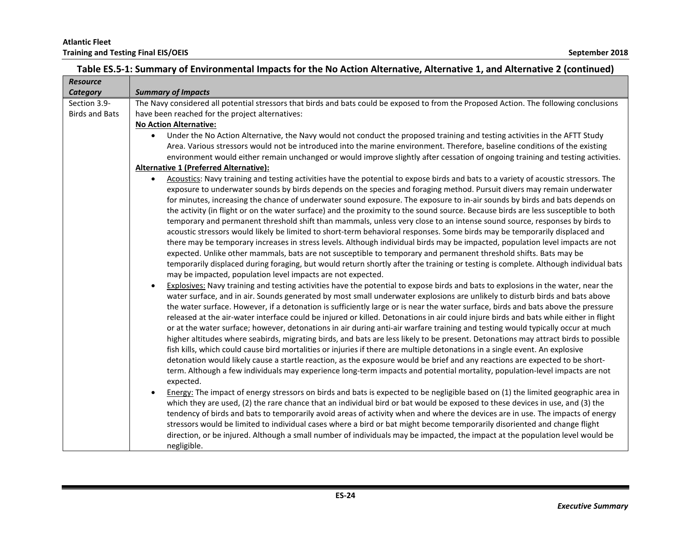| <b>Resource</b>       |                                                                                                                                                                                                                                                            |
|-----------------------|------------------------------------------------------------------------------------------------------------------------------------------------------------------------------------------------------------------------------------------------------------|
| Category              | <b>Summary of Impacts</b>                                                                                                                                                                                                                                  |
| Section 3.9-          | The Navy considered all potential stressors that birds and bats could be exposed to from the Proposed Action. The following conclusions                                                                                                                    |
| <b>Birds and Bats</b> | have been reached for the project alternatives:                                                                                                                                                                                                            |
|                       | <b>No Action Alternative:</b>                                                                                                                                                                                                                              |
|                       | Under the No Action Alternative, the Navy would not conduct the proposed training and testing activities in the AFTT Study<br>$\bullet$                                                                                                                    |
|                       | Area. Various stressors would not be introduced into the marine environment. Therefore, baseline conditions of the existing                                                                                                                                |
|                       | environment would either remain unchanged or would improve slightly after cessation of ongoing training and testing activities.                                                                                                                            |
|                       | <b>Alternative 1 (Preferred Alternative):</b>                                                                                                                                                                                                              |
|                       | Acoustics: Navy training and testing activities have the potential to expose birds and bats to a variety of acoustic stressors. The<br>$\bullet$                                                                                                           |
|                       | exposure to underwater sounds by birds depends on the species and foraging method. Pursuit divers may remain underwater                                                                                                                                    |
|                       | for minutes, increasing the chance of underwater sound exposure. The exposure to in-air sounds by birds and bats depends on                                                                                                                                |
|                       | the activity (in flight or on the water surface) and the proximity to the sound source. Because birds are less susceptible to both                                                                                                                         |
|                       | temporary and permanent threshold shift than mammals, unless very close to an intense sound source, responses by birds to<br>acoustic stressors would likely be limited to short-term behavioral responses. Some birds may be temporarily displaced and    |
|                       | there may be temporary increases in stress levels. Although individual birds may be impacted, population level impacts are not                                                                                                                             |
|                       | expected. Unlike other mammals, bats are not susceptible to temporary and permanent threshold shifts. Bats may be                                                                                                                                          |
|                       | temporarily displaced during foraging, but would return shortly after the training or testing is complete. Although individual bats                                                                                                                        |
|                       | may be impacted, population level impacts are not expected.                                                                                                                                                                                                |
|                       | Explosives: Navy training and testing activities have the potential to expose birds and bats to explosions in the water, near the<br>$\bullet$                                                                                                             |
|                       | water surface, and in air. Sounds generated by most small underwater explosions are unlikely to disturb birds and bats above                                                                                                                               |
|                       | the water surface. However, if a detonation is sufficiently large or is near the water surface, birds and bats above the pressure                                                                                                                          |
|                       | released at the air-water interface could be injured or killed. Detonations in air could injure birds and bats while either in flight                                                                                                                      |
|                       | or at the water surface; however, detonations in air during anti-air warfare training and testing would typically occur at much                                                                                                                            |
|                       | higher altitudes where seabirds, migrating birds, and bats are less likely to be present. Detonations may attract birds to possible                                                                                                                        |
|                       | fish kills, which could cause bird mortalities or injuries if there are multiple detonations in a single event. An explosive                                                                                                                               |
|                       | detonation would likely cause a startle reaction, as the exposure would be brief and any reactions are expected to be short-                                                                                                                               |
|                       | term. Although a few individuals may experience long-term impacts and potential mortality, population-level impacts are not                                                                                                                                |
|                       | expected.                                                                                                                                                                                                                                                  |
|                       | Energy: The impact of energy stressors on birds and bats is expected to be negligible based on (1) the limited geographic area in<br>$\bullet$                                                                                                             |
|                       | which they are used, (2) the rare chance that an individual bird or bat would be exposed to these devices in use, and (3) the                                                                                                                              |
|                       | tendency of birds and bats to temporarily avoid areas of activity when and where the devices are in use. The impacts of energy                                                                                                                             |
|                       | stressors would be limited to individual cases where a bird or bat might become temporarily disoriented and change flight<br>direction, or be injured. Although a small number of individuals may be impacted, the impact at the population level would be |
|                       |                                                                                                                                                                                                                                                            |
|                       | negligible.                                                                                                                                                                                                                                                |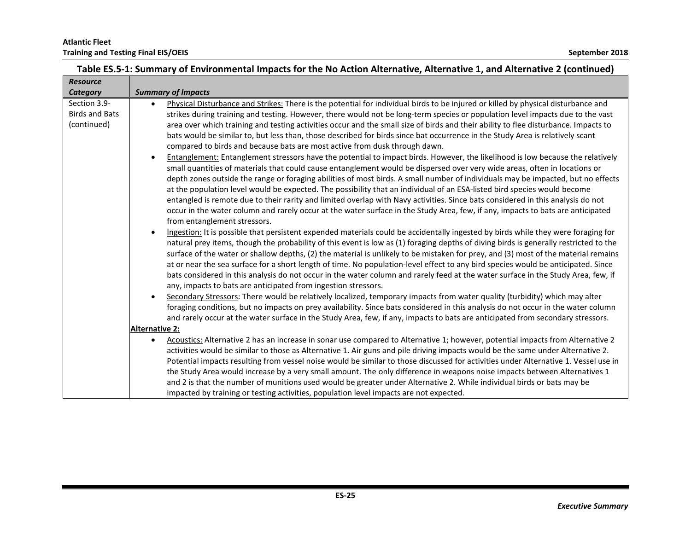| <b>Resource</b>                                      |                                                                                                                                                                                                                                                                                                                                                                                                                                                                                                                                                                                                                                                                                                                                                                                                                                                                                                                                                                                                                                                                                                                                                                                                                                                                                                                                                                                                                                                                                                                                                                                                                                                                                                                                                            |
|------------------------------------------------------|------------------------------------------------------------------------------------------------------------------------------------------------------------------------------------------------------------------------------------------------------------------------------------------------------------------------------------------------------------------------------------------------------------------------------------------------------------------------------------------------------------------------------------------------------------------------------------------------------------------------------------------------------------------------------------------------------------------------------------------------------------------------------------------------------------------------------------------------------------------------------------------------------------------------------------------------------------------------------------------------------------------------------------------------------------------------------------------------------------------------------------------------------------------------------------------------------------------------------------------------------------------------------------------------------------------------------------------------------------------------------------------------------------------------------------------------------------------------------------------------------------------------------------------------------------------------------------------------------------------------------------------------------------------------------------------------------------------------------------------------------------|
| Category                                             | <b>Summary of Impacts</b>                                                                                                                                                                                                                                                                                                                                                                                                                                                                                                                                                                                                                                                                                                                                                                                                                                                                                                                                                                                                                                                                                                                                                                                                                                                                                                                                                                                                                                                                                                                                                                                                                                                                                                                                  |
| Section 3.9-<br><b>Birds and Bats</b><br>(continued) | Physical Disturbance and Strikes: There is the potential for individual birds to be injured or killed by physical disturbance and<br>strikes during training and testing. However, there would not be long-term species or population level impacts due to the vast<br>area over which training and testing activities occur and the small size of birds and their ability to flee disturbance. Impacts to<br>bats would be similar to, but less than, those described for birds since bat occurrence in the Study Area is relatively scant<br>compared to birds and because bats are most active from dusk through dawn.<br>Entanglement: Entanglement stressors have the potential to impact birds. However, the likelihood is low because the relatively<br>$\bullet$<br>small quantities of materials that could cause entanglement would be dispersed over very wide areas, often in locations or<br>depth zones outside the range or foraging abilities of most birds. A small number of individuals may be impacted, but no effects<br>at the population level would be expected. The possibility that an individual of an ESA-listed bird species would become<br>entangled is remote due to their rarity and limited overlap with Navy activities. Since bats considered in this analysis do not<br>occur in the water column and rarely occur at the water surface in the Study Area, few, if any, impacts to bats are anticipated<br>from entanglement stressors.<br>Ingestion: It is possible that persistent expended materials could be accidentally ingested by birds while they were foraging for<br>natural prey items, though the probability of this event is low as (1) foraging depths of diving birds is generally restricted to the |
|                                                      | surface of the water or shallow depths, (2) the material is unlikely to be mistaken for prey, and (3) most of the material remains<br>at or near the sea surface for a short length of time. No population-level effect to any bird species would be anticipated. Since<br>bats considered in this analysis do not occur in the water column and rarely feed at the water surface in the Study Area, few, if<br>any, impacts to bats are anticipated from ingestion stressors.<br>Secondary Stressors: There would be relatively localized, temporary impacts from water quality (turbidity) which may alter<br>foraging conditions, but no impacts on prey availability. Since bats considered in this analysis do not occur in the water column<br>and rarely occur at the water surface in the Study Area, few, if any, impacts to bats are anticipated from secondary stressors.<br>Alternative 2:<br>Acoustics: Alternative 2 has an increase in sonar use compared to Alternative 1; however, potential impacts from Alternative 2<br>$\bullet$<br>activities would be similar to those as Alternative 1. Air guns and pile driving impacts would be the same under Alternative 2.<br>Potential impacts resulting from vessel noise would be similar to those discussed for activities under Alternative 1. Vessel use in                                                                                                                                                                                                                                                                                                                                                                                                                            |
|                                                      | the Study Area would increase by a very small amount. The only difference in weapons noise impacts between Alternatives 1<br>and 2 is that the number of munitions used would be greater under Alternative 2. While individual birds or bats may be<br>impacted by training or testing activities, population level impacts are not expected.                                                                                                                                                                                                                                                                                                                                                                                                                                                                                                                                                                                                                                                                                                                                                                                                                                                                                                                                                                                                                                                                                                                                                                                                                                                                                                                                                                                                              |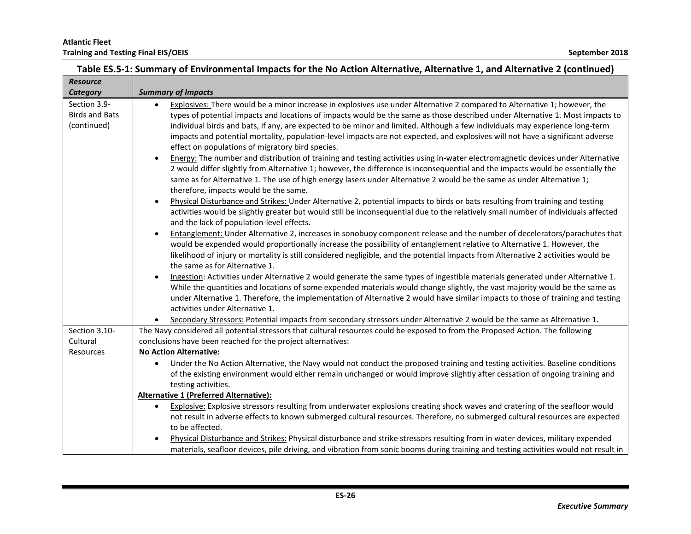| <b>Resource</b>       |                                                                                                                                                                 |
|-----------------------|-----------------------------------------------------------------------------------------------------------------------------------------------------------------|
| Category              | <b>Summary of Impacts</b>                                                                                                                                       |
| Section 3.9-          | Explosives: There would be a minor increase in explosives use under Alternative 2 compared to Alternative 1; however, the<br>$\bullet$                          |
| <b>Birds and Bats</b> | types of potential impacts and locations of impacts would be the same as those described under Alternative 1. Most impacts to                                   |
| (continued)           | individual birds and bats, if any, are expected to be minor and limited. Although a few individuals may experience long-term                                    |
|                       | impacts and potential mortality, population-level impacts are not expected, and explosives will not have a significant adverse                                  |
|                       | effect on populations of migratory bird species.                                                                                                                |
|                       | Energy: The number and distribution of training and testing activities using in-water electromagnetic devices under Alternative<br>$\bullet$                    |
|                       | 2 would differ slightly from Alternative 1; however, the difference is inconsequential and the impacts would be essentially the                                 |
|                       | same as for Alternative 1. The use of high energy lasers under Alternative 2 would be the same as under Alternative 1;<br>therefore, impacts would be the same. |
|                       | Physical Disturbance and Strikes: Under Alternative 2, potential impacts to birds or bats resulting from training and testing<br>$\bullet$                      |
|                       | activities would be slightly greater but would still be inconsequential due to the relatively small number of individuals affected                              |
|                       | and the lack of population-level effects.                                                                                                                       |
|                       | Entanglement: Under Alternative 2, increases in sonobuoy component release and the number of decelerators/parachutes that<br>$\bullet$                          |
|                       | would be expended would proportionally increase the possibility of entanglement relative to Alternative 1. However, the                                         |
|                       | likelihood of injury or mortality is still considered negligible, and the potential impacts from Alternative 2 activities would be                              |
|                       | the same as for Alternative 1.                                                                                                                                  |
|                       | Ingestion: Activities under Alternative 2 would generate the same types of ingestible materials generated under Alternative 1.<br>$\bullet$                     |
|                       | While the quantities and locations of some expended materials would change slightly, the vast majority would be the same as                                     |
|                       | under Alternative 1. Therefore, the implementation of Alternative 2 would have similar impacts to those of training and testing                                 |
|                       | activities under Alternative 1.                                                                                                                                 |
|                       | Secondary Stressors: Potential impacts from secondary stressors under Alternative 2 would be the same as Alternative 1.                                         |
| Section 3.10-         | The Navy considered all potential stressors that cultural resources could be exposed to from the Proposed Action. The following                                 |
| Cultural              | conclusions have been reached for the project alternatives:                                                                                                     |
| Resources             | <b>No Action Alternative:</b>                                                                                                                                   |
|                       | Under the No Action Alternative, the Navy would not conduct the proposed training and testing activities. Baseline conditions<br>$\bullet$                      |
|                       | of the existing environment would either remain unchanged or would improve slightly after cessation of ongoing training and                                     |
|                       | testing activities.                                                                                                                                             |
|                       | <b>Alternative 1 (Preferred Alternative):</b>                                                                                                                   |
|                       | Explosive: Explosive stressors resulting from underwater explosions creating shock waves and cratering of the seafloor would<br>$\bullet$                       |
|                       | not result in adverse effects to known submerged cultural resources. Therefore, no submerged cultural resources are expected                                    |
|                       | to be affected.                                                                                                                                                 |
|                       | Physical Disturbance and Strikes: Physical disturbance and strike stressors resulting from in water devices, military expended<br>$\bullet$                     |
|                       | materials, seafloor devices, pile driving, and vibration from sonic booms during training and testing activities would not result in                            |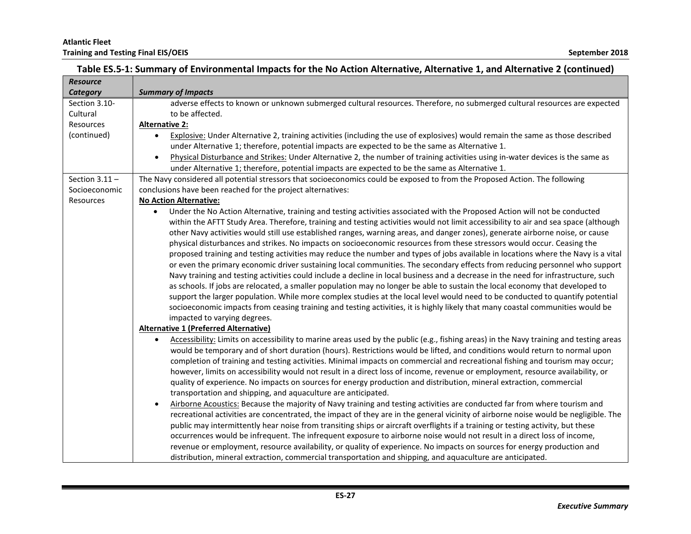| <b>Resource</b>  |                                                                                                                                                     |
|------------------|-----------------------------------------------------------------------------------------------------------------------------------------------------|
| Category         | <b>Summary of Impacts</b>                                                                                                                           |
| Section 3.10-    | adverse effects to known or unknown submerged cultural resources. Therefore, no submerged cultural resources are expected                           |
| Cultural         | to be affected.                                                                                                                                     |
| Resources        | <b>Alternative 2:</b>                                                                                                                               |
| (continued)      | Explosive: Under Alternative 2, training activities (including the use of explosives) would remain the same as those described<br>$\bullet$         |
|                  | under Alternative 1; therefore, potential impacts are expected to be the same as Alternative 1.                                                     |
|                  | Physical Disturbance and Strikes: Under Alternative 2, the number of training activities using in-water devices is the same as<br>$\bullet$         |
|                  | under Alternative 1; therefore, potential impacts are expected to be the same as Alternative 1.                                                     |
| Section $3.11 -$ | The Navy considered all potential stressors that socioeconomics could be exposed to from the Proposed Action. The following                         |
| Socioeconomic    | conclusions have been reached for the project alternatives:                                                                                         |
| Resources        | <b>No Action Alternative:</b>                                                                                                                       |
|                  | Under the No Action Alternative, training and testing activities associated with the Proposed Action will not be conducted<br>$\bullet$             |
|                  | within the AFTT Study Area. Therefore, training and testing activities would not limit accessibility to air and sea space (although                 |
|                  | other Navy activities would still use established ranges, warning areas, and danger zones), generate airborne noise, or cause                       |
|                  | physical disturbances and strikes. No impacts on socioeconomic resources from these stressors would occur. Ceasing the                              |
|                  | proposed training and testing activities may reduce the number and types of jobs available in locations where the Navy is a vital                   |
|                  | or even the primary economic driver sustaining local communities. The secondary effects from reducing personnel who support                         |
|                  | Navy training and testing activities could include a decline in local business and a decrease in the need for infrastructure, such                  |
|                  | as schools. If jobs are relocated, a smaller population may no longer be able to sustain the local economy that developed to                        |
|                  | support the larger population. While more complex studies at the local level would need to be conducted to quantify potential                       |
|                  | socioeconomic impacts from ceasing training and testing activities, it is highly likely that many coastal communities would be                      |
|                  | impacted to varying degrees.                                                                                                                        |
|                  | <b>Alternative 1 (Preferred Alternative)</b>                                                                                                        |
|                  | Accessibility: Limits on accessibility to marine areas used by the public (e.g., fishing areas) in the Navy training and testing areas<br>$\bullet$ |
|                  | would be temporary and of short duration (hours). Restrictions would be lifted, and conditions would return to normal upon                          |
|                  | completion of training and testing activities. Minimal impacts on commercial and recreational fishing and tourism may occur;                        |
|                  | however, limits on accessibility would not result in a direct loss of income, revenue or employment, resource availability, or                      |
|                  | quality of experience. No impacts on sources for energy production and distribution, mineral extraction, commercial                                 |
|                  | transportation and shipping, and aquaculture are anticipated.                                                                                       |
|                  | Airborne Acoustics: Because the majority of Navy training and testing activities are conducted far from where tourism and<br>$\bullet$              |
|                  | recreational activities are concentrated, the impact of they are in the general vicinity of airborne noise would be negligible. The                 |
|                  | public may intermittently hear noise from transiting ships or aircraft overflights if a training or testing activity, but these                     |
|                  | occurrences would be infrequent. The infrequent exposure to airborne noise would not result in a direct loss of income,                             |
|                  | revenue or employment, resource availability, or quality of experience. No impacts on sources for energy production and                             |
|                  | distribution, mineral extraction, commercial transportation and shipping, and aquaculture are anticipated.                                          |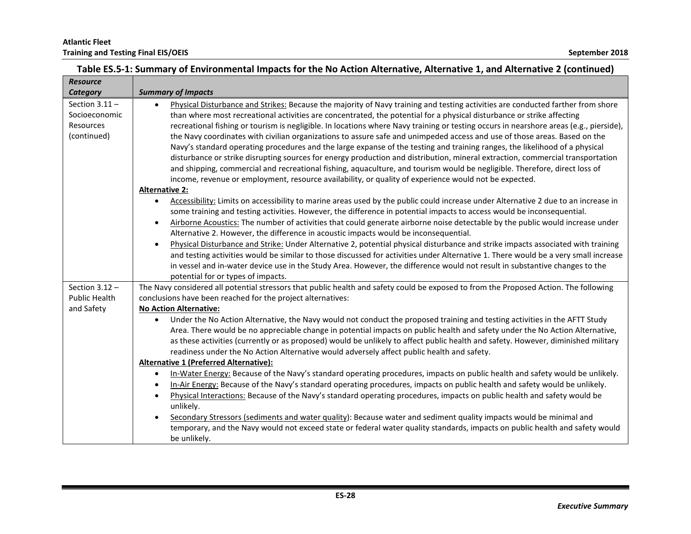| <b>Resource</b>      |                                                                                                                                                                                                                                 |
|----------------------|---------------------------------------------------------------------------------------------------------------------------------------------------------------------------------------------------------------------------------|
| Category             | <b>Summary of Impacts</b>                                                                                                                                                                                                       |
| Section $3.11 -$     | Physical Disturbance and Strikes: Because the majority of Navy training and testing activities are conducted farther from shore<br>$\bullet$                                                                                    |
| Socioeconomic        | than where most recreational activities are concentrated, the potential for a physical disturbance or strike affecting                                                                                                          |
| Resources            | recreational fishing or tourism is negligible. In locations where Navy training or testing occurs in nearshore areas (e.g., pierside),                                                                                          |
| (continued)          | the Navy coordinates with civilian organizations to assure safe and unimpeded access and use of those areas. Based on the                                                                                                       |
|                      | Navy's standard operating procedures and the large expanse of the testing and training ranges, the likelihood of a physical                                                                                                     |
|                      | disturbance or strike disrupting sources for energy production and distribution, mineral extraction, commercial transportation                                                                                                  |
|                      | and shipping, commercial and recreational fishing, aquaculture, and tourism would be negligible. Therefore, direct loss of                                                                                                      |
|                      | income, revenue or employment, resource availability, or quality of experience would not be expected.                                                                                                                           |
|                      | <b>Alternative 2:</b>                                                                                                                                                                                                           |
|                      | Accessibility: Limits on accessibility to marine areas used by the public could increase under Alternative 2 due to an increase in<br>$\bullet$                                                                                 |
|                      | some training and testing activities. However, the difference in potential impacts to access would be inconsequential.                                                                                                          |
|                      | Airborne Acoustics: The number of activities that could generate airborne noise detectable by the public would increase under<br>$\bullet$                                                                                      |
|                      | Alternative 2. However, the difference in acoustic impacts would be inconsequential.                                                                                                                                            |
|                      | Physical Disturbance and Strike: Under Alternative 2, potential physical disturbance and strike impacts associated with training<br>$\bullet$                                                                                   |
|                      | and testing activities would be similar to those discussed for activities under Alternative 1. There would be a very small increase                                                                                             |
|                      | in vessel and in-water device use in the Study Area. However, the difference would not result in substantive changes to the                                                                                                     |
|                      | potential for or types of impacts.                                                                                                                                                                                              |
| Section $3.12 -$     | The Navy considered all potential stressors that public health and safety could be exposed to from the Proposed Action. The following                                                                                           |
| <b>Public Health</b> | conclusions have been reached for the project alternatives:                                                                                                                                                                     |
| and Safety           | <b>No Action Alternative:</b>                                                                                                                                                                                                   |
|                      | Under the No Action Alternative, the Navy would not conduct the proposed training and testing activities in the AFTT Study                                                                                                      |
|                      | Area. There would be no appreciable change in potential impacts on public health and safety under the No Action Alternative,                                                                                                    |
|                      | as these activities (currently or as proposed) would be unlikely to affect public health and safety. However, diminished military<br>readiness under the No Action Alternative would adversely affect public health and safety. |
|                      | <b>Alternative 1 (Preferred Alternative):</b>                                                                                                                                                                                   |
|                      | In-Water Energy: Because of the Navy's standard operating procedures, impacts on public health and safety would be unlikely.<br>$\bullet$                                                                                       |
|                      | In-Air Energy: Because of the Navy's standard operating procedures, impacts on public health and safety would be unlikely.<br>$\bullet$                                                                                         |
|                      | Physical Interactions: Because of the Navy's standard operating procedures, impacts on public health and safety would be<br>$\bullet$                                                                                           |
|                      | unlikely.                                                                                                                                                                                                                       |
|                      | Secondary Stressors (sediments and water quality): Because water and sediment quality impacts would be minimal and                                                                                                              |
|                      | temporary, and the Navy would not exceed state or federal water quality standards, impacts on public health and safety would                                                                                                    |
|                      | be unlikely.                                                                                                                                                                                                                    |
|                      |                                                                                                                                                                                                                                 |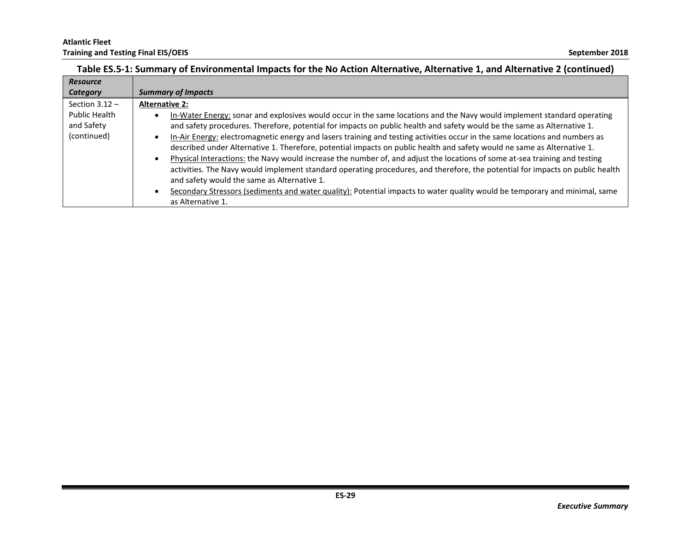| Table ES.5-1: Summary of Environmental Impacts for the No Action Alternative, Alternative 1, and Alternative 2 (continued) |  |
|----------------------------------------------------------------------------------------------------------------------------|--|
|                                                                                                                            |  |

| <b>Resource</b>  |                                                                                                                                          |
|------------------|------------------------------------------------------------------------------------------------------------------------------------------|
| <b>Category</b>  | <b>Summary of Impacts</b>                                                                                                                |
| Section $3.12 -$ | <b>Alternative 2:</b>                                                                                                                    |
| Public Health    | In-Water Energy: sonar and explosives would occur in the same locations and the Navy would implement standard operating<br>٠             |
| and Safety       | and safety procedures. Therefore, potential for impacts on public health and safety would be the same as Alternative 1.                  |
| (continued)      | In-Air Energy: electromagnetic energy and lasers training and testing activities occur in the same locations and numbers as<br>$\bullet$ |
|                  | described under Alternative 1. Therefore, potential impacts on public health and safety would ne same as Alternative 1.                  |
|                  | Physical Interactions: the Navy would increase the number of, and adjust the locations of some at-sea training and testing               |
|                  | activities. The Navy would implement standard operating procedures, and therefore, the potential for impacts on public health            |
|                  | and safety would the same as Alternative 1.                                                                                              |
|                  | Secondary Stressors (sediments and water quality): Potential impacts to water quality would be temporary and minimal, same               |
|                  | as Alternative 1.                                                                                                                        |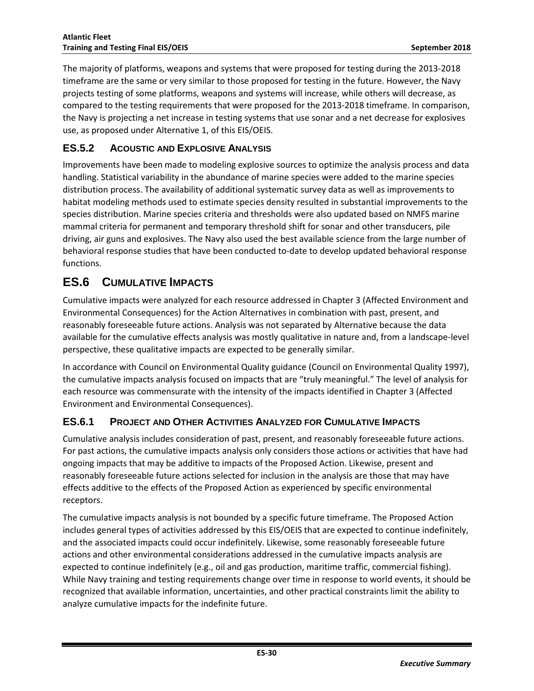<span id="page-31-0"></span>The majority of platforms, weapons and systems that were proposed for testing during the 2013-2018 timeframe are the same or very similar to those proposed for testing in the future. However, the Navy projects testing of some platforms, weapons and systems will increase, while others will decrease, as compared to the testing requirements that were proposed for the 2013-2018 timeframe. In comparison, the Navy is projecting a net increase in testing systems that use sonar and a net decrease for explosives use, as proposed under Alternative 1, of this EIS/OEIS.

#### **ES.5.2 ACOUSTIC AND EXPLOSIVE ANALYSIS**

Improvements have been made to modeling explosive sources to optimize the analysis process and data handling. Statistical variability in the abundance of marine species were added to the marine species distribution process. The availability of additional systematic survey data as well as improvements to habitat modeling methods used to estimate species density resulted in substantial improvements to the species distribution. Marine species criteria and thresholds were also updated based on NMFS marine mammal criteria for permanent and temporary threshold shift for sonar and other transducers, pile driving, air guns and explosives. The Navy also used the best available science from the large number of behavioral response studies that have been conducted to-date to develop updated behavioral response functions.

# <span id="page-31-1"></span>**ES.6 CUMULATIVE IMPACTS**

Cumulative impacts were analyzed for each resource addressed in Chapter 3 (Affected Environment and Environmental Consequences) for the Action Alternatives in combination with past, present, and reasonably foreseeable future actions. Analysis was not separated by Alternative because the data available for the cumulative effects analysis was mostly qualitative in nature and, from a landscape-level perspective, these qualitative impacts are expected to be generally similar.

In accordance with Council on Environmental Quality guidance (Council on Environmental Quality 1997), the cumulative impacts analysis focused on impacts that are "truly meaningful." The level of analysis for each resource was commensurate with the intensity of the impacts identified in Chapter 3 (Affected Environment and Environmental Consequences).

#### <span id="page-31-2"></span>**ES.6.1 PROJECT AND OTHER ACTIVITIES ANALYZED FOR CUMULATIVE IMPACTS**

Cumulative analysis includes consideration of past, present, and reasonably foreseeable future actions. For past actions, the cumulative impacts analysis only considers those actions or activities that have had ongoing impacts that may be additive to impacts of the Proposed Action. Likewise, present and reasonably foreseeable future actions selected for inclusion in the analysis are those that may have effects additive to the effects of the Proposed Action as experienced by specific environmental receptors.

The cumulative impacts analysis is not bounded by a specific future timeframe. The Proposed Action includes general types of activities addressed by this EIS/OEIS that are expected to continue indefinitely, and the associated impacts could occur indefinitely. Likewise, some reasonably foreseeable future actions and other environmental considerations addressed in the cumulative impacts analysis are expected to continue indefinitely (e.g., oil and gas production, maritime traffic, commercial fishing). While Navy training and testing requirements change over time in response to world events, it should be recognized that available information, uncertainties, and other practical constraints limit the ability to analyze cumulative impacts for the indefinite future.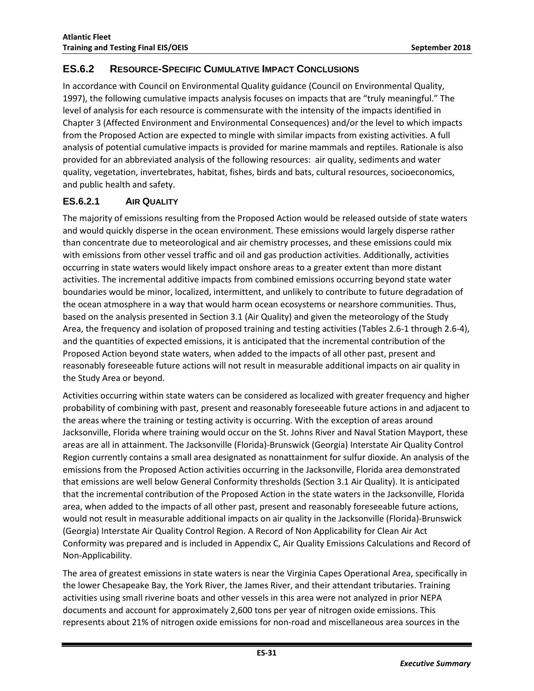#### <span id="page-32-0"></span>**ES.6.2 RESOURCE-SPECIFIC CUMULATIVE IMPACT CONCLUSIONS**

In accordance with Council on Environmental Quality guidance (Council on Environmental Quality, 1997), the following cumulative impacts analysis focuses on impacts that are "truly meaningful." The level of analysis for each resource is commensurate with the intensity of the impacts identified in Chapter 3 (Affected Environment and Environmental Consequences) and/or the level to which impacts from the Proposed Action are expected to mingle with similar impacts from existing activities. A full analysis of potential cumulative impacts is provided for marine mammals and reptiles. Rationale is also provided for an abbreviated analysis of the following resources: air quality, sediments and water quality, vegetation, invertebrates, habitat, fishes, birds and bats, cultural resources, socioeconomics, and public health and safety.

#### <span id="page-32-1"></span>**ES.6.2.1 AIR QUALITY**

The majority of emissions resulting from the Proposed Action would be released outside of state waters and would quickly disperse in the ocean environment. These emissions would largely disperse rather than concentrate due to meteorological and air chemistry processes, and these emissions could mix with emissions from other vessel traffic and oil and gas production activities. Additionally, activities occurring in state waters would likely impact onshore areas to a greater extent than more distant activities. The incremental additive impacts from combined emissions occurring beyond state water boundaries would be minor, localized, intermittent, and unlikely to contribute to future degradation of the ocean atmosphere in a way that would harm ocean ecosystems or nearshore communities. Thus, based on the analysis presented in Section 3.1 (Air Quality) and given the meteorology of the Study Area, the frequency and isolation of proposed training and testing activities (Tables 2.6-1 through 2.6-4), and the quantities of expected emissions, it is anticipated that the incremental contribution of the Proposed Action beyond state waters, when added to the impacts of all other past, present and reasonably foreseeable future actions will not result in measurable additional impacts on air quality in the Study Area or beyond.

Activities occurring within state waters can be considered as localized with greater frequency and higher probability of combining with past, present and reasonably foreseeable future actions in and adjacent to the areas where the training or testing activity is occurring. With the exception of areas around Jacksonville, Florida where training would occur on the St. Johns River and Naval Station Mayport, these areas are all in attainment. The Jacksonville (Florida)-Brunswick (Georgia) Interstate Air Quality Control Region currently contains a small area designated as nonattainment for sulfur dioxide. An analysis of the emissions from the Proposed Action activities occurring in the Jacksonville, Florida area demonstrated that emissions are well below General Conformity thresholds (Section 3.1 Air Quality). It is anticipated that the incremental contribution of the Proposed Action in the state waters in the Jacksonville, Florida area, when added to the impacts of all other past, present and reasonably foreseeable future actions, would not result in measurable additional impacts on air quality in the Jacksonville (Florida)-Brunswick (Georgia) Interstate Air Quality Control Region. A Record of Non Applicability for Clean Air Act Conformity was prepared and is included in Appendix C, Air Quality Emissions Calculations and Record of Non-Applicability.

The area of greatest emissions in state waters is near the Virginia Capes Operational Area, specifically in the lower Chesapeake Bay, the York River, the James River, and their attendant tributaries. Training activities using small riverine boats and other vessels in this area were not analyzed in prior NEPA documents and account for approximately 2,600 tons per year of nitrogen oxide emissions. This represents about 21% of nitrogen oxide emissions for non-road and miscellaneous area sources in the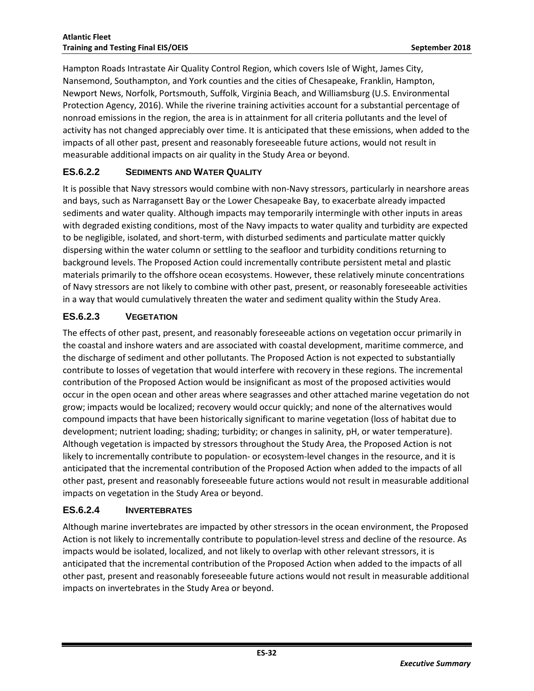Hampton Roads Intrastate Air Quality Control Region, which covers Isle of Wight, James City, Nansemond, Southampton, and York counties and the cities of Chesapeake, Franklin, Hampton, Newport News, Norfolk, Portsmouth, Suffolk, Virginia Beach, and Williamsburg (U.S. Environmental Protection Agency, 2016). While the riverine training activities account for a substantial percentage of nonroad emissions in the region, the area is in attainment for all criteria pollutants and the level of activity has not changed appreciably over time. It is anticipated that these emissions, when added to the impacts of all other past, present and reasonably foreseeable future actions, would not result in measurable additional impacts on air quality in the Study Area or beyond.

#### <span id="page-33-0"></span>**ES.6.2.2 SEDIMENTS AND WATER QUALITY**

It is possible that Navy stressors would combine with non-Navy stressors, particularly in nearshore areas and bays, such as Narragansett Bay or the Lower Chesapeake Bay, to exacerbate already impacted sediments and water quality. Although impacts may temporarily intermingle with other inputs in areas with degraded existing conditions, most of the Navy impacts to water quality and turbidity are expected to be negligible, isolated, and short-term, with disturbed sediments and particulate matter quickly dispersing within the water column or settling to the seafloor and turbidity conditions returning to background levels. The Proposed Action could incrementally contribute persistent metal and plastic materials primarily to the offshore ocean ecosystems. However, these relatively minute concentrations of Navy stressors are not likely to combine with other past, present, or reasonably foreseeable activities in a way that would cumulatively threaten the water and sediment quality within the Study Area.

#### <span id="page-33-1"></span>**ES.6.2.3 VEGETATION**

The effects of other past, present, and reasonably foreseeable actions on vegetation occur primarily in the coastal and inshore waters and are associated with coastal development, maritime commerce, and the discharge of sediment and other pollutants. The Proposed Action is not expected to substantially contribute to losses of vegetation that would interfere with recovery in these regions. The incremental contribution of the Proposed Action would be insignificant as most of the proposed activities would occur in the open ocean and other areas where seagrasses and other attached marine vegetation do not grow; impacts would be localized; recovery would occur quickly; and none of the alternatives would compound impacts that have been historically significant to marine vegetation (loss of habitat due to development; nutrient loading; shading; turbidity; or changes in salinity, pH, or water temperature). Although vegetation is impacted by stressors throughout the Study Area, the Proposed Action is not likely to incrementally contribute to population- or ecosystem-level changes in the resource, and it is anticipated that the incremental contribution of the Proposed Action when added to the impacts of all other past, present and reasonably foreseeable future actions would not result in measurable additional impacts on vegetation in the Study Area or beyond.

#### <span id="page-33-2"></span>**ES.6.2.4 INVERTEBRATES**

Although marine invertebrates are impacted by other stressors in the ocean environment, the Proposed Action is not likely to incrementally contribute to population-level stress and decline of the resource. As impacts would be isolated, localized, and not likely to overlap with other relevant stressors, it is anticipated that the incremental contribution of the Proposed Action when added to the impacts of all other past, present and reasonably foreseeable future actions would not result in measurable additional impacts on invertebrates in the Study Area or beyond.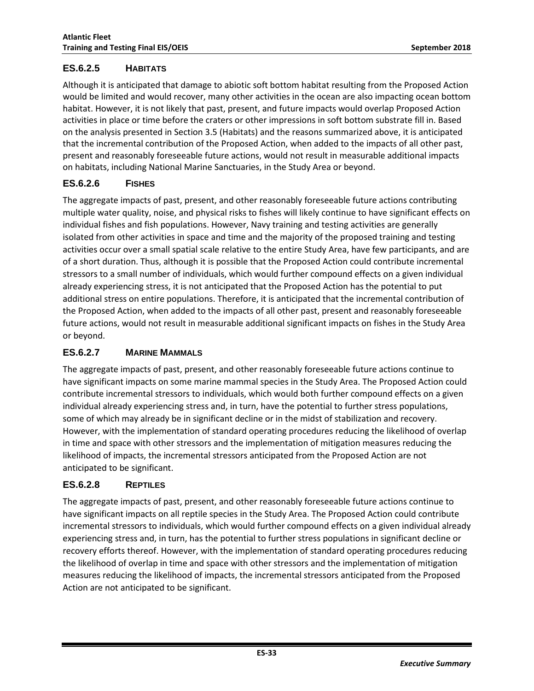#### <span id="page-34-0"></span>**ES.6.2.5 HABITATS**

Although it is anticipated that damage to abiotic soft bottom habitat resulting from the Proposed Action would be limited and would recover, many other activities in the ocean are also impacting ocean bottom habitat. However, it is not likely that past, present, and future impacts would overlap Proposed Action activities in place or time before the craters or other impressions in soft bottom substrate fill in. Based on the analysis presented in Section 3.5 (Habitats) and the reasons summarized above, it is anticipated that the incremental contribution of the Proposed Action, when added to the impacts of all other past, present and reasonably foreseeable future actions, would not result in measurable additional impacts on habitats, including National Marine Sanctuaries, in the Study Area or beyond.

#### <span id="page-34-1"></span>**ES.6.2.6 FISHES**

The aggregate impacts of past, present, and other reasonably foreseeable future actions contributing multiple water quality, noise, and physical risks to fishes will likely continue to have significant effects on individual fishes and fish populations. However, Navy training and testing activities are generally isolated from other activities in space and time and the majority of the proposed training and testing activities occur over a small spatial scale relative to the entire Study Area, have few participants, and are of a short duration. Thus, although it is possible that the Proposed Action could contribute incremental stressors to a small number of individuals, which would further compound effects on a given individual already experiencing stress, it is not anticipated that the Proposed Action has the potential to put additional stress on entire populations. Therefore, it is anticipated that the incremental contribution of the Proposed Action, when added to the impacts of all other past, present and reasonably foreseeable future actions, would not result in measurable additional significant impacts on fishes in the Study Area or beyond.

#### <span id="page-34-2"></span>**ES.6.2.7 MARINE MAMMALS**

The aggregate impacts of past, present, and other reasonably foreseeable future actions continue to have significant impacts on some marine mammal species in the Study Area. The Proposed Action could contribute incremental stressors to individuals, which would both further compound effects on a given individual already experiencing stress and, in turn, have the potential to further stress populations, some of which may already be in significant decline or in the midst of stabilization and recovery. However, with the implementation of standard operating procedures reducing the likelihood of overlap in time and space with other stressors and the implementation of mitigation measures reducing the likelihood of impacts, the incremental stressors anticipated from the Proposed Action are not anticipated to be significant.

#### <span id="page-34-3"></span>**ES.6.2.8 REPTILES**

The aggregate impacts of past, present, and other reasonably foreseeable future actions continue to have significant impacts on all reptile species in the Study Area. The Proposed Action could contribute incremental stressors to individuals, which would further compound effects on a given individual already experiencing stress and, in turn, has the potential to further stress populations in significant decline or recovery efforts thereof. However, with the implementation of standard operating procedures reducing the likelihood of overlap in time and space with other stressors and the implementation of mitigation measures reducing the likelihood of impacts, the incremental stressors anticipated from the Proposed Action are not anticipated to be significant.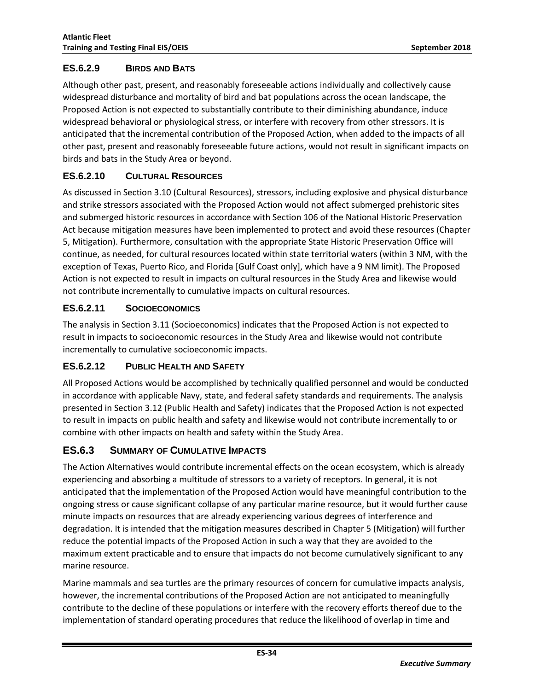#### <span id="page-35-0"></span>**ES.6.2.9 BIRDS AND BATS**

Although other past, present, and reasonably foreseeable actions individually and collectively cause widespread disturbance and mortality of bird and bat populations across the ocean landscape, the Proposed Action is not expected to substantially contribute to their diminishing abundance, induce widespread behavioral or physiological stress, or interfere with recovery from other stressors. It is anticipated that the incremental contribution of the Proposed Action, when added to the impacts of all other past, present and reasonably foreseeable future actions, would not result in significant impacts on birds and bats in the Study Area or beyond.

#### <span id="page-35-1"></span>**ES.6.2.10 CULTURAL RESOURCES**

As discussed in Section 3.10 (Cultural Resources), stressors, including explosive and physical disturbance and strike stressors associated with the Proposed Action would not affect submerged prehistoric sites and submerged historic resources in accordance with Section 106 of the National Historic Preservation Act because mitigation measures have been implemented to protect and avoid these resources (Chapter 5, Mitigation). Furthermore, consultation with the appropriate State Historic Preservation Office will continue, as needed, for cultural resources located within state territorial waters (within 3 NM, with the exception of Texas, Puerto Rico, and Florida [Gulf Coast only], which have a 9 NM limit). The Proposed Action is not expected to result in impacts on cultural resources in the Study Area and likewise would not contribute incrementally to cumulative impacts on cultural resources.

#### <span id="page-35-2"></span>**ES.6.2.11 SOCIOECONOMICS**

The analysis in Section 3.11 (Socioeconomics) indicates that the Proposed Action is not expected to result in impacts to socioeconomic resources in the Study Area and likewise would not contribute incrementally to cumulative socioeconomic impacts.

#### <span id="page-35-3"></span>**ES.6.2.12 PUBLIC HEALTH AND SAFETY**

All Proposed Actions would be accomplished by technically qualified personnel and would be conducted in accordance with applicable Navy, state, and federal safety standards and requirements. The analysis presented in Section 3.12 (Public Health and Safety) indicates that the Proposed Action is not expected to result in impacts on public health and safety and likewise would not contribute incrementally to or combine with other impacts on health and safety within the Study Area.

#### <span id="page-35-4"></span>**ES.6.3 SUMMARY OF CUMULATIVE IMPACTS**

The Action Alternatives would contribute incremental effects on the ocean ecosystem, which is already experiencing and absorbing a multitude of stressors to a variety of receptors. In general, it is not anticipated that the implementation of the Proposed Action would have meaningful contribution to the ongoing stress or cause significant collapse of any particular marine resource, but it would further cause minute impacts on resources that are already experiencing various degrees of interference and degradation. It is intended that the mitigation measures described in Chapter 5 (Mitigation) will further reduce the potential impacts of the Proposed Action in such a way that they are avoided to the maximum extent practicable and to ensure that impacts do not become cumulatively significant to any marine resource.

Marine mammals and sea turtles are the primary resources of concern for cumulative impacts analysis, however, the incremental contributions of the Proposed Action are not anticipated to meaningfully contribute to the decline of these populations or interfere with the recovery efforts thereof due to the implementation of standard operating procedures that reduce the likelihood of overlap in time and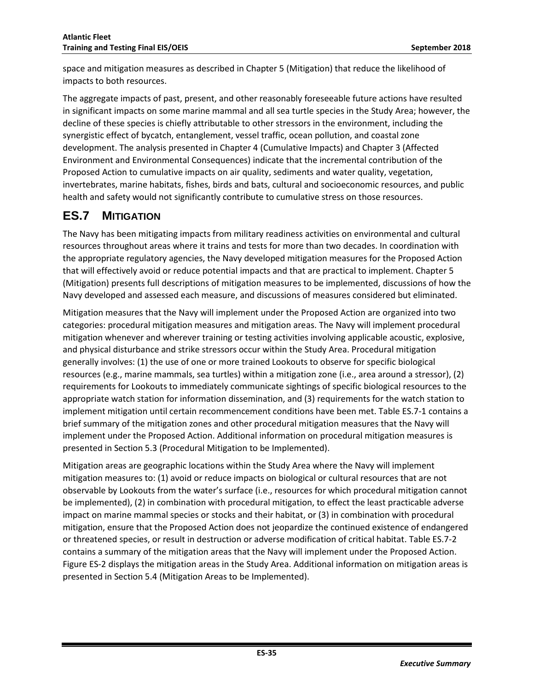space and mitigation measures as described in Chapter 5 (Mitigation) that reduce the likelihood of impacts to both resources.

The aggregate impacts of past, present, and other reasonably foreseeable future actions have resulted in significant impacts on some marine mammal and all sea turtle species in the Study Area; however, the decline of these species is chiefly attributable to other stressors in the environment, including the synergistic effect of bycatch, entanglement, vessel traffic, ocean pollution, and coastal zone development. The analysis presented in Chapter 4 (Cumulative Impacts) and Chapter 3 (Affected Environment and Environmental Consequences) indicate that the incremental contribution of the Proposed Action to cumulative impacts on air quality, sediments and water quality, vegetation, invertebrates, marine habitats, fishes, birds and bats, cultural and socioeconomic resources, and public health and safety would not significantly contribute to cumulative stress on those resources.

# <span id="page-36-0"></span>**ES.7 MITIGATION**

The Navy has been mitigating impacts from military readiness activities on environmental and cultural resources throughout areas where it trains and tests for more than two decades. In coordination with the appropriate regulatory agencies, the Navy developed mitigation measures for the Proposed Action that will effectively avoid or reduce potential impacts and that are practical to implement. Chapter 5 (Mitigation) presents full descriptions of mitigation measures to be implemented, discussions of how the Navy developed and assessed each measure, and discussions of measures considered but eliminated.

Mitigation measures that the Navy will implement under the Proposed Action are organized into two categories: procedural mitigation measures and mitigation areas. The Navy will implement procedural mitigation whenever and wherever training or testing activities involving applicable acoustic, explosive, and physical disturbance and strike stressors occur within the Study Area. Procedural mitigation generally involves: (1) the use of one or more trained Lookouts to observe for specific biological resources (e.g., marine mammals, sea turtles) within a mitigation zone (i.e., area around a stressor), (2) requirements for Lookouts to immediately communicate sightings of specific biological resources to the appropriate watch station for information dissemination, and (3) requirements for the watch station to implement mitigation until certain recommencement conditions have been met. Table ES.7-1 contains a brief summary of the mitigation zones and other procedural mitigation measures that the Navy will implement under the Proposed Action. Additional information on procedural mitigation measures is presented in Section 5.3 (Procedural Mitigation to be Implemented).

Mitigation areas are geographic locations within the Study Area where the Navy will implement mitigation measures to: (1) avoid or reduce impacts on biological or cultural resources that are not observable by Lookouts from the water's surface (i.e., resources for which procedural mitigation cannot be implemented), (2) in combination with procedural mitigation, to effect the least practicable adverse impact on marine mammal species or stocks and their habitat, or (3) in combination with procedural mitigation, ensure that the Proposed Action does not jeopardize the continued existence of endangered or threatened species, or result in destruction or adverse modification of critical habitat. Table ES.7-2 contains a summary of the mitigation areas that the Navy will implement under the Proposed Action. Figure ES-2 displays the mitigation areas in the Study Area. Additional information on mitigation areas is presented in Section 5.4 (Mitigation Areas to be Implemented).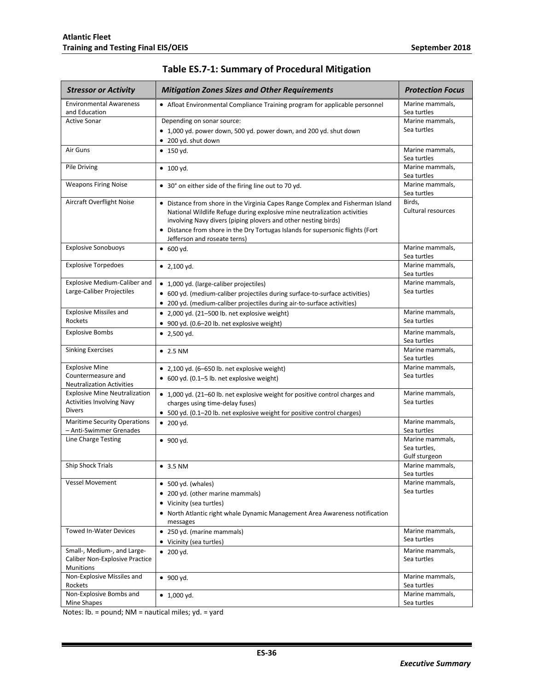<span id="page-37-0"></span>

| <b>Stressor or Activity</b>                     | <b>Mitigation Zones Sizes and Other Requirements</b>                                                                                                                                                                         | <b>Protection Focus</b>        |
|-------------------------------------------------|------------------------------------------------------------------------------------------------------------------------------------------------------------------------------------------------------------------------------|--------------------------------|
| <b>Environmental Awareness</b><br>and Education | • Afloat Environmental Compliance Training program for applicable personnel                                                                                                                                                  | Marine mammals,<br>Sea turtles |
| <b>Active Sonar</b>                             | Depending on sonar source:                                                                                                                                                                                                   | Marine mammals,                |
|                                                 | • 1,000 yd. power down, 500 yd. power down, and 200 yd. shut down                                                                                                                                                            | Sea turtles                    |
|                                                 | • 200 yd. shut down                                                                                                                                                                                                          |                                |
| Air Guns                                        | $\bullet$ 150 yd.                                                                                                                                                                                                            | Marine mammals,<br>Sea turtles |
| Pile Driving                                    | $\bullet$ 100 yd.                                                                                                                                                                                                            | Marine mammals,<br>Sea turtles |
| <b>Weapons Firing Noise</b>                     | • 30° on either side of the firing line out to 70 yd.                                                                                                                                                                        | Marine mammals,<br>Sea turtles |
| Aircraft Overflight Noise                       | • Distance from shore in the Virginia Capes Range Complex and Fisherman Island<br>National Wildlife Refuge during explosive mine neutralization activities<br>involving Navy divers (piping plovers and other nesting birds) | Birds,<br>Cultural resources   |
|                                                 | • Distance from shore in the Dry Tortugas Islands for supersonic flights (Fort<br>Jefferson and roseate terns)                                                                                                               |                                |
| <b>Explosive Sonobuoys</b>                      | $\bullet$ 600 yd.                                                                                                                                                                                                            | Marine mammals,<br>Sea turtles |
| <b>Explosive Torpedoes</b>                      | • $2,100$ yd.                                                                                                                                                                                                                | Marine mammals.<br>Sea turtles |
| Explosive Medium-Caliber and                    | • 1,000 yd. (large-caliber projectiles)                                                                                                                                                                                      | Marine mammals,                |
| Large-Caliber Projectiles                       | • 600 yd. (medium-caliber projectiles during surface-to-surface activities)                                                                                                                                                  | Sea turtles                    |
|                                                 | • 200 yd. (medium-caliber projectiles during air-to-surface activities)                                                                                                                                                      |                                |
| <b>Explosive Missiles and</b>                   | • 2,000 yd. (21-500 lb. net explosive weight)                                                                                                                                                                                | Marine mammals,                |
| Rockets                                         | • 900 yd. (0.6-20 lb. net explosive weight)                                                                                                                                                                                  | Sea turtles                    |
| <b>Explosive Bombs</b>                          | $\bullet$ 2,500 yd.                                                                                                                                                                                                          | Marine mammals,                |
| <b>Sinking Exercises</b>                        | $\bullet$ 2.5 NM                                                                                                                                                                                                             | Sea turtles<br>Marine mammals, |
|                                                 |                                                                                                                                                                                                                              | Sea turtles                    |
| <b>Explosive Mine</b>                           | • 2,100 yd. (6-650 lb. net explosive weight)                                                                                                                                                                                 | Marine mammals,                |
| Countermeasure and                              | • 600 yd. (0.1-5 lb. net explosive weight)                                                                                                                                                                                   | Sea turtles                    |
| <b>Neutralization Activities</b>                |                                                                                                                                                                                                                              |                                |
| <b>Explosive Mine Neutralization</b>            | • 1,000 yd. (21-60 lb. net explosive weight for positive control charges and                                                                                                                                                 | Marine mammals,                |
| <b>Activities Involving Navy</b>                | charges using time-delay fuses)                                                                                                                                                                                              | Sea turtles                    |
| <b>Divers</b>                                   | • 500 yd. (0.1-20 lb. net explosive weight for positive control charges)                                                                                                                                                     |                                |
| <b>Maritime Security Operations</b>             | $\bullet$ 200 yd.                                                                                                                                                                                                            | Marine mammals,                |
| - Anti-Swimmer Grenades<br>Line Charge Testing  |                                                                                                                                                                                                                              | Sea turtles<br>Marine mammals. |
|                                                 | $\bullet$ 900 yd.                                                                                                                                                                                                            | Sea turtles,                   |
|                                                 |                                                                                                                                                                                                                              | Gulf sturgeon                  |
| <b>Ship Shock Trials</b>                        | • 3.5 N M                                                                                                                                                                                                                    | Marine mammals,<br>Sea turtles |
| <b>Vessel Movement</b>                          | $\bullet$ 500 yd. (whales)                                                                                                                                                                                                   | Marine mammals.                |
|                                                 | • 200 yd. (other marine mammals)                                                                                                                                                                                             | Sea turtles                    |
|                                                 | • Vicinity (sea turtles)                                                                                                                                                                                                     |                                |
|                                                 | • North Atlantic right whale Dynamic Management Area Awareness notification                                                                                                                                                  |                                |
|                                                 | messages                                                                                                                                                                                                                     |                                |
| <b>Towed In-Water Devices</b>                   | • 250 yd. (marine mammals)                                                                                                                                                                                                   | Marine mammals,                |
|                                                 | • Vicinity (sea turtles)                                                                                                                                                                                                     | Sea turtles                    |
| Small-, Medium-, and Large-                     | $\bullet$ 200 yd.                                                                                                                                                                                                            | Marine mammals,                |
| <b>Caliber Non-Explosive Practice</b>           |                                                                                                                                                                                                                              | Sea turtles                    |
| <b>Munitions</b>                                |                                                                                                                                                                                                                              |                                |
| Non-Explosive Missiles and<br>Rockets           | $\bullet$ 900 yd.                                                                                                                                                                                                            | Marine mammals,<br>Sea turtles |
| Non-Explosive Bombs and                         | $\bullet$ 1,000 yd.                                                                                                                                                                                                          | Marine mammals,                |
| Mine Shapes                                     |                                                                                                                                                                                                                              | Sea turtles                    |

### **Table ES.7-1: Summary of Procedural Mitigation**

Notes: lb. = pound; NM = nautical miles; yd. = yard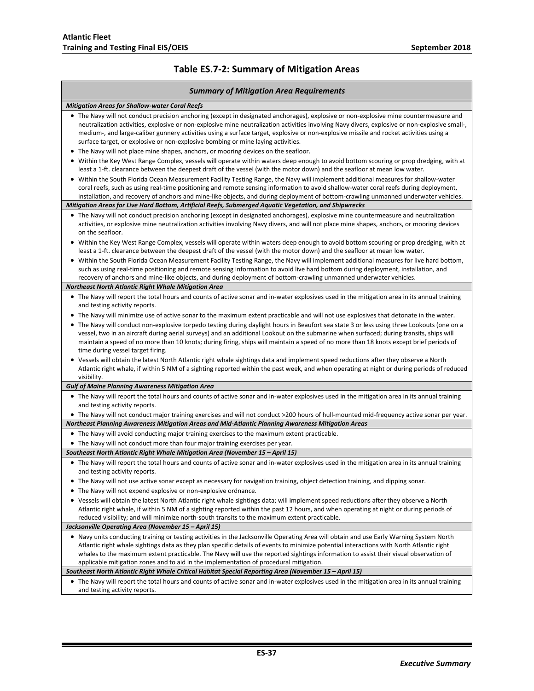<span id="page-38-0"></span>Г

٦

### **Table ES.7-2: Summary of Mitigation Areas**

| <b>Summary of Mitigation Area Requirements</b>                                                                                                                                                                                                                                                                                                                                                                                                                                                                         |  |
|------------------------------------------------------------------------------------------------------------------------------------------------------------------------------------------------------------------------------------------------------------------------------------------------------------------------------------------------------------------------------------------------------------------------------------------------------------------------------------------------------------------------|--|
| <b>Mitigation Areas for Shallow-water Coral Reefs</b>                                                                                                                                                                                                                                                                                                                                                                                                                                                                  |  |
| • The Navy will not conduct precision anchoring (except in designated anchorages), explosive or non-explosive mine countermeasure and<br>neutralization activities, explosive or non-explosive mine neutralization activities involving Navy divers, explosive or non-explosive small-,<br>medium-, and large-caliber gunnery activities using a surface target, explosive or non-explosive missile and rocket activities using a<br>surface target, or explosive or non-explosive bombing or mine laying activities.  |  |
| • The Navy will not place mine shapes, anchors, or mooring devices on the seafloor.                                                                                                                                                                                                                                                                                                                                                                                                                                    |  |
| • Within the Key West Range Complex, vessels will operate within waters deep enough to avoid bottom scouring or prop dredging, with at<br>least a 1-ft. clearance between the deepest draft of the vessel (with the motor down) and the seafloor at mean low water.                                                                                                                                                                                                                                                    |  |
| • Within the South Florida Ocean Measurement Facility Testing Range, the Navy will implement additional measures for shallow-water<br>coral reefs, such as using real-time positioning and remote sensing information to avoid shallow-water coral reefs during deployment,<br>installation, and recovery of anchors and mine-like objects, and during deployment of bottom-crawling unmanned underwater vehicles.                                                                                                     |  |
| Mitigation Areas for Live Hard Bottom, Artificial Reefs, Submerged Aquatic Vegetation, and Shipwrecks                                                                                                                                                                                                                                                                                                                                                                                                                  |  |
| • The Navy will not conduct precision anchoring (except in designated anchorages), explosive mine countermeasure and neutralization<br>activities, or explosive mine neutralization activities involving Navy divers, and will not place mine shapes, anchors, or mooring devices<br>on the seafloor.                                                                                                                                                                                                                  |  |
| • Within the Key West Range Complex, vessels will operate within waters deep enough to avoid bottom scouring or prop dredging, with at<br>least a 1-ft. clearance between the deepest draft of the vessel (with the motor down) and the seafloor at mean low water.                                                                                                                                                                                                                                                    |  |
| • Within the South Florida Ocean Measurement Facility Testing Range, the Navy will implement additional measures for live hard bottom,<br>such as using real-time positioning and remote sensing information to avoid live hard bottom during deployment, installation, and<br>recovery of anchors and mine-like objects, and during deployment of bottom-crawling unmanned underwater vehicles.                                                                                                                       |  |
| Northeast North Atlantic Right Whale Mitigation Area                                                                                                                                                                                                                                                                                                                                                                                                                                                                   |  |
| • The Navy will report the total hours and counts of active sonar and in-water explosives used in the mitigation area in its annual training                                                                                                                                                                                                                                                                                                                                                                           |  |
| and testing activity reports.                                                                                                                                                                                                                                                                                                                                                                                                                                                                                          |  |
| • The Navy will minimize use of active sonar to the maximum extent practicable and will not use explosives that detonate in the water.                                                                                                                                                                                                                                                                                                                                                                                 |  |
| • The Navy will conduct non-explosive torpedo testing during daylight hours in Beaufort sea state 3 or less using three Lookouts (one on a<br>vessel, two in an aircraft during aerial surveys) and an additional Lookout on the submarine when surfaced; during transits, ships will<br>maintain a speed of no more than 10 knots; during firing, ships will maintain a speed of no more than 18 knots except brief periods of<br>time during vessel target firing.                                                   |  |
| • Vessels will obtain the latest North Atlantic right whale sightings data and implement speed reductions after they observe a North<br>Atlantic right whale, if within 5 NM of a sighting reported within the past week, and when operating at night or during periods of reduced<br>visibility.                                                                                                                                                                                                                      |  |
| <b>Gulf of Maine Planning Awareness Mitigation Area</b>                                                                                                                                                                                                                                                                                                                                                                                                                                                                |  |
| • The Navy will report the total hours and counts of active sonar and in-water explosives used in the mitigation area in its annual training<br>and testing activity reports.                                                                                                                                                                                                                                                                                                                                          |  |
| • The Navy will not conduct major training exercises and will not conduct >200 hours of hull-mounted mid-frequency active sonar per year.                                                                                                                                                                                                                                                                                                                                                                              |  |
| Northeast Planning Awareness Mitigation Areas and Mid-Atlantic Planning Awareness Mitigation Areas                                                                                                                                                                                                                                                                                                                                                                                                                     |  |
| • The Navy will avoid conducting major training exercises to the maximum extent practicable.                                                                                                                                                                                                                                                                                                                                                                                                                           |  |
| • The Navy will not conduct more than four major training exercises per year.                                                                                                                                                                                                                                                                                                                                                                                                                                          |  |
| Southeast North Atlantic Right Whale Mitigation Area (November 15 – April 15)                                                                                                                                                                                                                                                                                                                                                                                                                                          |  |
| • The Navy will report the total hours and counts of active sonar and in-water explosives used in the mitigation area in its annual training<br>and testing activity reports.                                                                                                                                                                                                                                                                                                                                          |  |
| The Navy will not use active sonar except as necessary for navigation training, object detection training, and dipping sonar.                                                                                                                                                                                                                                                                                                                                                                                          |  |
| • The Navy will not expend explosive or non-explosive ordnance.                                                                                                                                                                                                                                                                                                                                                                                                                                                        |  |
| • Vessels will obtain the latest North Atlantic right whale sightings data; will implement speed reductions after they observe a North<br>Atlantic right whale, if within 5 NM of a sighting reported within the past 12 hours, and when operating at night or during periods of<br>reduced visibility; and will minimize north-south transits to the maximum extent practicable.                                                                                                                                      |  |
| Jacksonville Operating Area (November 15 - April 15)                                                                                                                                                                                                                                                                                                                                                                                                                                                                   |  |
| • Navy units conducting training or testing activities in the Jacksonville Operating Area will obtain and use Early Warning System North<br>Atlantic right whale sightings data as they plan specific details of events to minimize potential interactions with North Atlantic right<br>whales to the maximum extent practicable. The Navy will use the reported sightings information to assist their visual observation of<br>applicable mitigation zones and to aid in the implementation of procedural mitigation. |  |
| Southeast North Atlantic Right Whale Critical Habitat Special Reporting Area (November 15 - April 15)                                                                                                                                                                                                                                                                                                                                                                                                                  |  |
| • The Navy will report the total hours and counts of active sonar and in-water explosives used in the mitigation area in its annual training<br>and testing activity reports.                                                                                                                                                                                                                                                                                                                                          |  |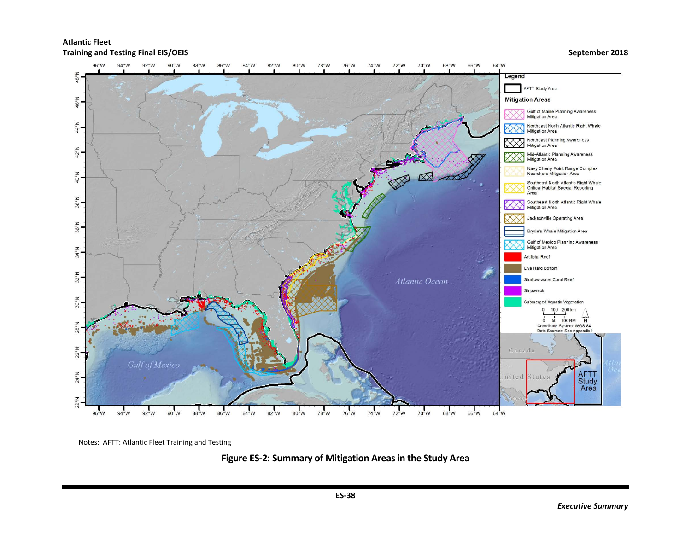

<span id="page-39-0"></span>Notes: AFTT: Atlantic Fleet Training and Testing

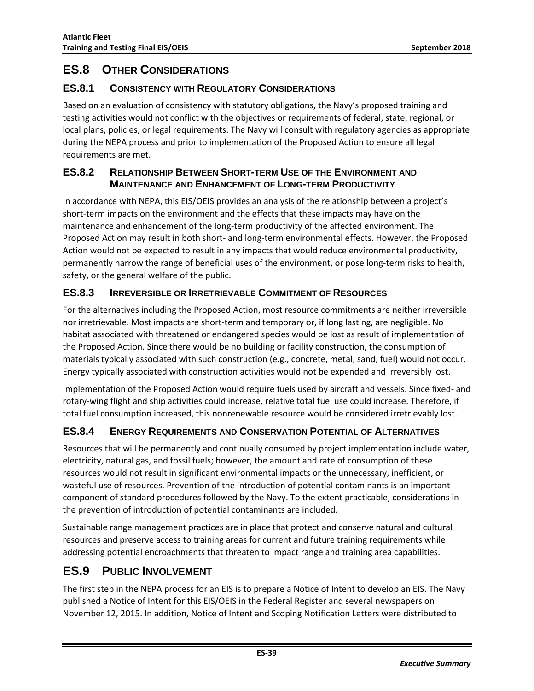## <span id="page-40-0"></span>**ES.8 OTHER CONSIDERATIONS**

#### <span id="page-40-1"></span>**ES.8.1 CONSISTENCY WITH REGULATORY CONSIDERATIONS**

Based on an evaluation of consistency with statutory obligations, the Navy's proposed training and testing activities would not conflict with the objectives or requirements of federal, state, regional, or local plans, policies, or legal requirements. The Navy will consult with regulatory agencies as appropriate during the NEPA process and prior to implementation of the Proposed Action to ensure all legal requirements are met.

#### <span id="page-40-2"></span>**ES.8.2 RELATIONSHIP BETWEEN SHORT-TERM USE OF THE ENVIRONMENT AND MAINTENANCE AND ENHANCEMENT OF LONG-TERM PRODUCTIVITY**

In accordance with NEPA, this EIS/OEIS provides an analysis of the relationship between a project's short-term impacts on the environment and the effects that these impacts may have on the maintenance and enhancement of the long-term productivity of the affected environment. The Proposed Action may result in both short- and long-term environmental effects. However, the Proposed Action would not be expected to result in any impacts that would reduce environmental productivity, permanently narrow the range of beneficial uses of the environment, or pose long-term risks to health, safety, or the general welfare of the public.

#### <span id="page-40-3"></span>**ES.8.3 IRREVERSIBLE OR IRRETRIEVABLE COMMITMENT OF RESOURCES**

For the alternatives including the Proposed Action, most resource commitments are neither irreversible nor irretrievable. Most impacts are short-term and temporary or, if long lasting, are negligible. No habitat associated with threatened or endangered species would be lost as result of implementation of the Proposed Action. Since there would be no building or facility construction, the consumption of materials typically associated with such construction (e.g., concrete, metal, sand, fuel) would not occur. Energy typically associated with construction activities would not be expended and irreversibly lost.

Implementation of the Proposed Action would require fuels used by aircraft and vessels. Since fixed- and rotary-wing flight and ship activities could increase, relative total fuel use could increase. Therefore, if total fuel consumption increased, this nonrenewable resource would be considered irretrievably lost.

#### <span id="page-40-4"></span>**ES.8.4 ENERGY REQUIREMENTS AND CONSERVATION POTENTIAL OF ALTERNATIVES**

Resources that will be permanently and continually consumed by project implementation include water, electricity, natural gas, and fossil fuels; however, the amount and rate of consumption of these resources would not result in significant environmental impacts or the unnecessary, inefficient, or wasteful use of resources. Prevention of the introduction of potential contaminants is an important component of standard procedures followed by the Navy. To the extent practicable, considerations in the prevention of introduction of potential contaminants are included.

Sustainable range management practices are in place that protect and conserve natural and cultural resources and preserve access to training areas for current and future training requirements while addressing potential encroachments that threaten to impact range and training area capabilities.

# <span id="page-40-5"></span>**ES.9 PUBLIC INVOLVEMENT**

The first step in the NEPA process for an EIS is to prepare a Notice of Intent to develop an EIS. The Navy published a Notice of Intent for this EIS/OEIS in the Federal Register and several newspapers on November 12, 2015. In addition, Notice of Intent and Scoping Notification Letters were distributed to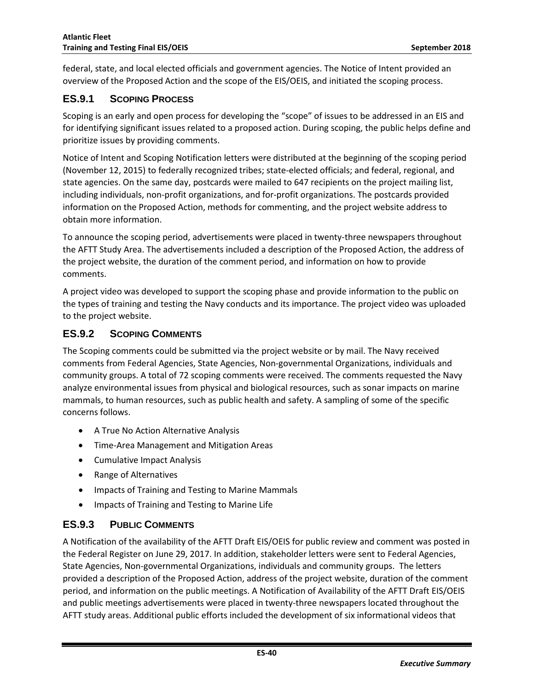federal, state, and local elected officials and government agencies. The Notice of Intent provided an overview of the Proposed Action and the scope of the EIS/OEIS, and initiated the scoping process.

#### <span id="page-41-0"></span>**ES.9.1 SCOPING PROCESS**

Scoping is an early and open process for developing the "scope" of issues to be addressed in an EIS and for identifying significant issues related to a proposed action. During scoping, the public helps define and prioritize issues by providing comments.

Notice of Intent and Scoping Notification letters were distributed at the beginning of the scoping period (November 12, 2015) to federally recognized tribes; state-elected officials; and federal, regional, and state agencies. On the same day, postcards were mailed to 647 recipients on the project mailing list, including individuals, non-profit organizations, and for-profit organizations. The postcards provided information on the Proposed Action, methods for commenting, and the project website address to obtain more information.

To announce the scoping period, advertisements were placed in twenty-three newspapers throughout the AFTT Study Area. The advertisements included a description of the Proposed Action, the address of the project website, the duration of the comment period, and information on how to provide comments.

A project video was developed to support the scoping phase and provide information to the public on the types of training and testing the Navy conducts and its importance. The project video was uploaded to the project website.

#### <span id="page-41-1"></span>**ES.9.2 SCOPING COMMENTS**

The Scoping comments could be submitted via the project website or by mail. The Navy received comments from Federal Agencies, State Agencies, Non-governmental Organizations, individuals and community groups. A total of 72 scoping comments were received. The comments requested the Navy analyze environmental issues from physical and biological resources, such as sonar impacts on marine mammals, to human resources, such as public health and safety. A sampling of some of the specific concerns follows.

- A True No Action Alternative Analysis
- Time-Area Management and Mitigation Areas
- Cumulative Impact Analysis
- Range of Alternatives
- Impacts of Training and Testing to Marine Mammals
- Impacts of Training and Testing to Marine Life

#### <span id="page-41-2"></span>**ES.9.3 PUBLIC COMMENTS**

A Notification of the availability of the AFTT Draft EIS/OEIS for public review and comment was posted in the Federal Register on June 29, 2017. In addition, stakeholder letters were sent to Federal Agencies, State Agencies, Non-governmental Organizations, individuals and community groups. The letters provided a description of the Proposed Action, address of the project website, duration of the comment period, and information on the public meetings. A Notification of Availability of the AFTT Draft EIS/OEIS and public meetings advertisements were placed in twenty-three newspapers located throughout the AFTT study areas. Additional public efforts included the development of six informational videos that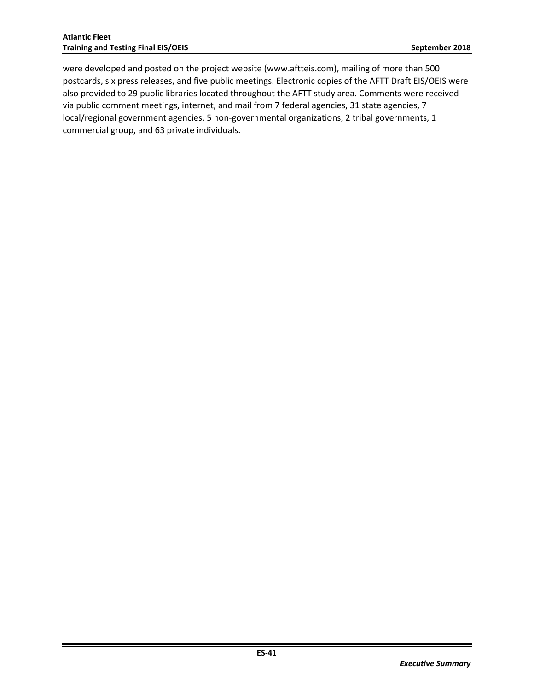were developed and posted on the project website (www.aftteis.com), mailing of more than 500 postcards, six press releases, and five public meetings. Electronic copies of the AFTT Draft EIS/OEIS were also provided to 29 public libraries located throughout the AFTT study area. Comments were received via public comment meetings, internet, and mail from 7 federal agencies, 31 state agencies, 7 local/regional government agencies, 5 non-governmental organizations, 2 tribal governments, 1 commercial group, and 63 private individuals.